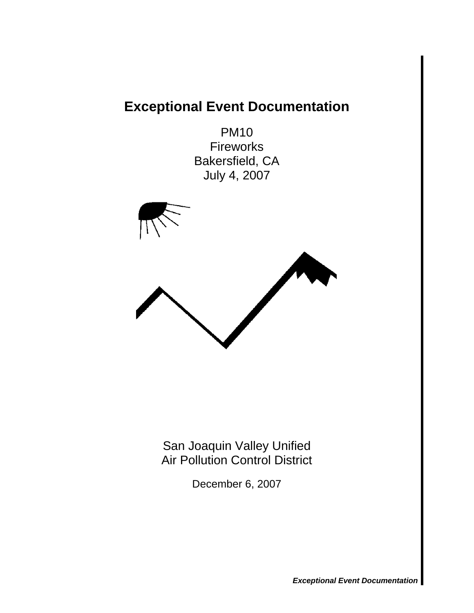# **Exceptional Event Documentation**

PM10 Fireworks Bakersfield, CA July 4, 2007



San Joaquin Valley Unified Air Pollution Control District

December 6, 2007

*Exceptional Event Documentation*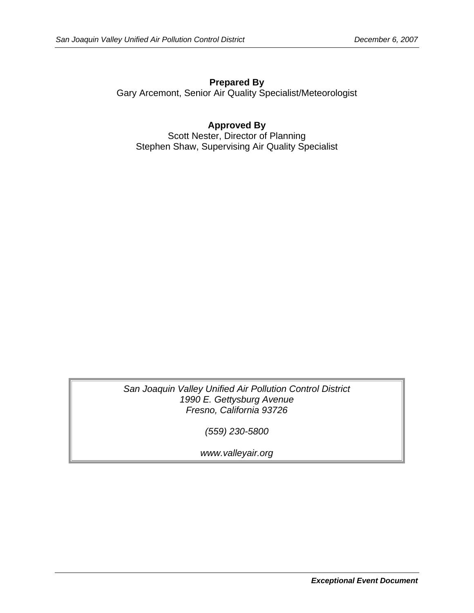**Prepared By**  Gary Arcemont, Senior Air Quality Specialist/Meteorologist

**Approved By**  Scott Nester, Director of Planning Stephen Shaw, Supervising Air Quality Specialist

*San Joaquin Valley Unified Air Pollution Control District 1990 E. Gettysburg Avenue Fresno, California 93726* 

*(559) 230-5800* 

*www.valleyair.org*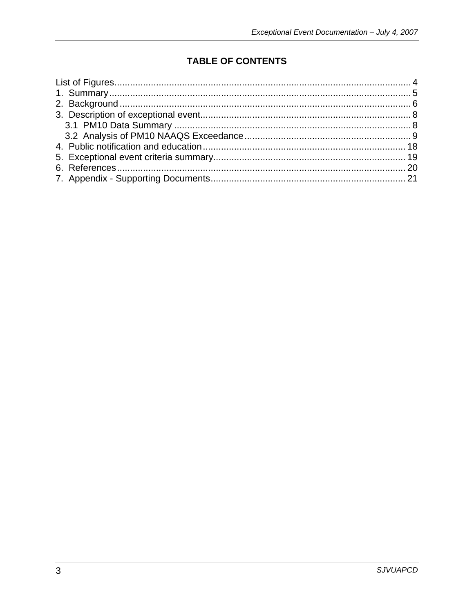# **TABLE OF CONTENTS**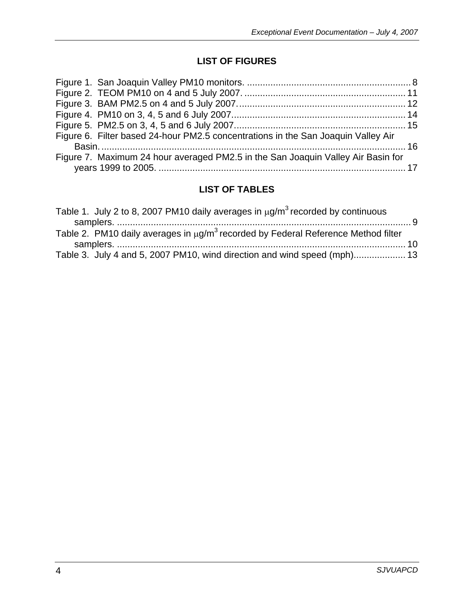# **LIST OF FIGURES**

<span id="page-3-0"></span>

| Figure 6. Filter based 24-hour PM2.5 concentrations in the San Joaquin Valley Air |  |
|-----------------------------------------------------------------------------------|--|
|                                                                                   |  |
| Figure 7. Maximum 24 hour averaged PM2.5 in the San Joaquin Valley Air Basin for  |  |
|                                                                                   |  |

# **LIST OF TABLES**

| Table 1. July 2 to 8, 2007 PM10 daily averages in $\mu$ g/m <sup>3</sup> recorded by continuous    |  |
|----------------------------------------------------------------------------------------------------|--|
|                                                                                                    |  |
| Table 2. PM10 daily averages in $\mu$ g/m <sup>3</sup> recorded by Federal Reference Method filter |  |
|                                                                                                    |  |
| Table 3. July 4 and 5, 2007 PM10, wind direction and wind speed (mph) 13                           |  |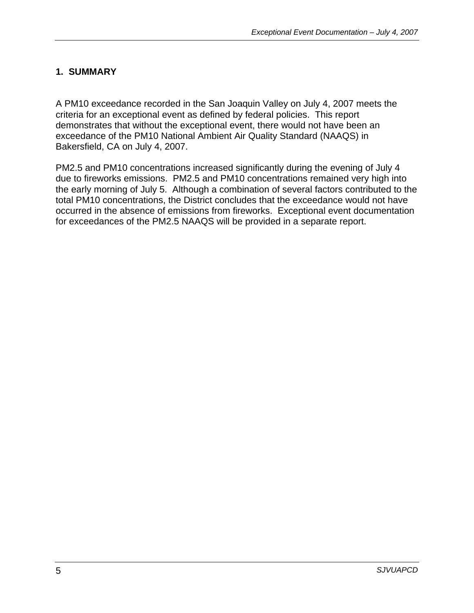### <span id="page-4-0"></span>**1. SUMMARY**

A PM10 exceedance recorded in the San Joaquin Valley on July 4, 2007 meets the criteria for an exceptional event as defined by federal policies. This report demonstrates that without the exceptional event, there would not have been an exceedance of the PM10 National Ambient Air Quality Standard (NAAQS) in Bakersfield, CA on July 4, 2007.

PM2.5 and PM10 concentrations increased significantly during the evening of July 4 due to fireworks emissions. PM2.5 and PM10 concentrations remained very high into the early morning of July 5. Although a combination of several factors contributed to the total PM10 concentrations, the District concludes that the exceedance would not have occurred in the absence of emissions from fireworks. Exceptional event documentation for exceedances of the PM2.5 NAAQS will be provided in a separate report.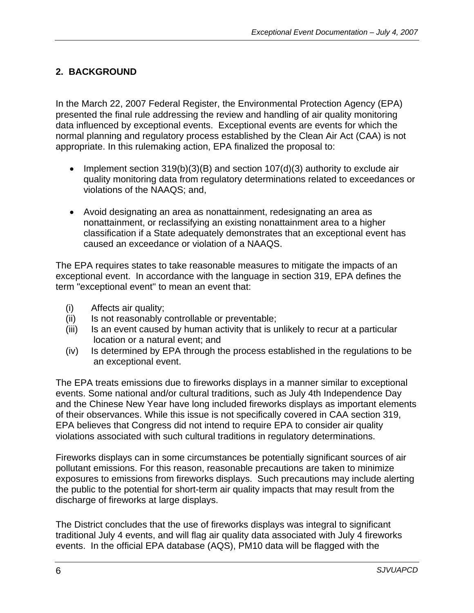# <span id="page-5-0"></span>**2. BACKGROUND**

In the March 22, 2007 Federal Register, the Environmental Protection Agency (EPA) presented the final rule addressing the review and handling of air quality monitoring data influenced by exceptional events. Exceptional events are events for which the normal planning and regulatory process established by the Clean Air Act (CAA) is not appropriate. In this rulemaking action, EPA finalized the proposal to:

- Implement section 319(b)(3)(B) and section 107(d)(3) authority to exclude air quality monitoring data from regulatory determinations related to exceedances or violations of the NAAQS; and,
- Avoid designating an area as nonattainment, redesignating an area as nonattainment, or reclassifying an existing nonattainment area to a higher classification if a State adequately demonstrates that an exceptional event has caused an exceedance or violation of a NAAQS.

The EPA requires states to take reasonable measures to mitigate the impacts of an exceptional event. In accordance with the language in section 319, EPA defines the term "exceptional event'' to mean an event that:

- (i) Affects air quality;
- (ii) Is not reasonably controllable or preventable;
- (iii) Is an event caused by human activity that is unlikely to recur at a particular location or a natural event; and
- (iv) Is determined by EPA through the process established in the regulations to be an exceptional event.

The EPA treats emissions due to fireworks displays in a manner similar to exceptional events. Some national and/or cultural traditions, such as July 4th Independence Day and the Chinese New Year have long included fireworks displays as important elements of their observances. While this issue is not specifically covered in CAA section 319, EPA believes that Congress did not intend to require EPA to consider air quality violations associated with such cultural traditions in regulatory determinations.

Fireworks displays can in some circumstances be potentially significant sources of air pollutant emissions. For this reason, reasonable precautions are taken to minimize exposures to emissions from fireworks displays. Such precautions may include alerting the public to the potential for short-term air quality impacts that may result from the discharge of fireworks at large displays.

The District concludes that the use of fireworks displays was integral to significant traditional July 4 events, and will flag air quality data associated with July 4 fireworks events. In the official EPA database (AQS), PM10 data will be flagged with the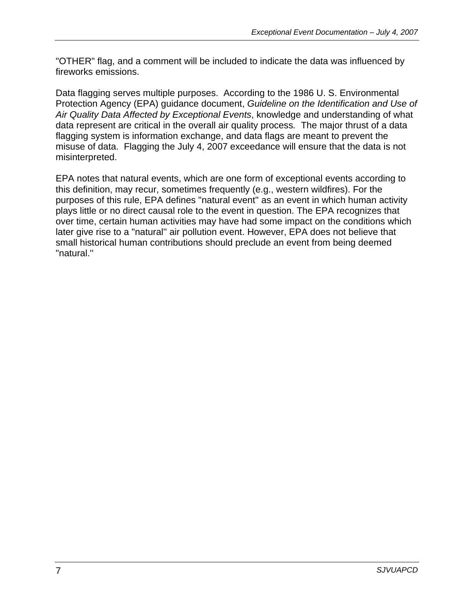"OTHER" flag, and a comment will be included to indicate the data was influenced by fireworks emissions.

Data flagging serves multiple purposes. According to the 1986 U. S. Environmental Protection Agency (EPA) guidance document, *Guideline on the Identification and Use of Air Quality Data Affected by Exceptional Events*, knowledge and understanding of what data represent are critical in the overall air quality process*.* The major thrust of a data flagging system is information exchange, and data flags are meant to prevent the misuse of data. Flagging the July 4, 2007 exceedance will ensure that the data is not misinterpreted.

EPA notes that natural events, which are one form of exceptional events according to this definition, may recur, sometimes frequently (e.g., western wildfires). For the purposes of this rule, EPA defines "natural event'' as an event in which human activity plays little or no direct causal role to the event in question. The EPA recognizes that over time, certain human activities may have had some impact on the conditions which later give rise to a "natural'' air pollution event. However, EPA does not believe that small historical human contributions should preclude an event from being deemed "natural.''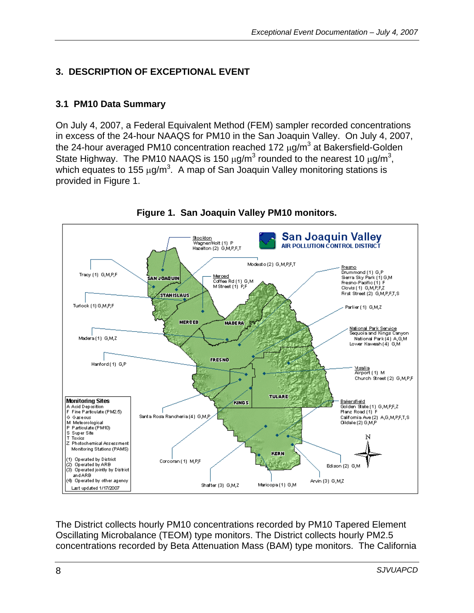# <span id="page-7-0"></span>**3. DESCRIPTION OF EXCEPTIONAL EVENT**

# **3.1 PM10 Data Summary**

On July 4, 2007, a Federal Equivalent Method (FEM) sampler recorded concentrations in excess of the 24-hour NAAQS for PM10 in the San Joaquin Valley. On July 4, 2007, the 24-hour averaged PM10 concentration reached 172  $\mu$ g/m $^3$  at Bakersfield-Golden State Highway. The PM10 NAAQS is 150  $\mu$ g/m<sup>3</sup> rounded to the nearest 10  $\mu$ g/m<sup>3</sup>, which equates to 155  $\mu$ g/m<sup>3</sup>. A map of San Joaquin Valley monitoring stations is provided in Figure 1.



#### **Figure 1. San Joaquin Valley PM10 monitors.**

The District collects hourly PM10 concentrations recorded by PM10 Tapered Element Oscillating Microbalance (TEOM) type monitors. The District collects hourly PM2.5 concentrations recorded by Beta Attenuation Mass (BAM) type monitors. The California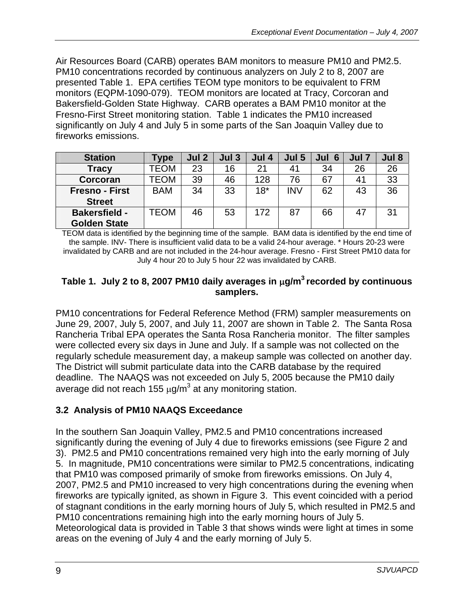<span id="page-8-0"></span>Air Resources Board (CARB) operates BAM monitors to measure PM10 and PM2.5. PM10 concentrations recorded by continuous analyzers on July 2 to 8, 2007 are presented Table 1. EPA certifies TEOM type monitors to be equivalent to FRM monitors (EQPM-1090-079). TEOM monitors are located at Tracy, Corcoran and Bakersfield-Golden State Highway. CARB operates a BAM PM10 monitor at the Fresno-First Street monitoring station. Table 1 indicates the PM10 increased significantly on July 4 and July 5 in some parts of the San Joaquin Valley due to fireworks emissions.

| <b>Station</b>        | <b>Type</b> | Jul 2 | Jul <sub>3</sub> | Jul 4 | Jul 5      | Jul<br>6 | Jul 7          | Jul 8 |
|-----------------------|-------------|-------|------------------|-------|------------|----------|----------------|-------|
| <b>Tracy</b>          | TEOM        | 23    | 16               | 21    | 41         | 34       | 26             | 26    |
| Corcoran              | TEOM        | 39    | 46               | 128   | 76         | 67       | 4 <sup>1</sup> | 33    |
| <b>Fresno - First</b> | <b>BAM</b>  | 34    | 33               | $18*$ | <b>INV</b> | 62       | 43             | 36    |
| <b>Street</b>         |             |       |                  |       |            |          |                |       |
| <b>Bakersfield -</b>  | TEOM        | 46    | 53               | 172   | 87         | 66       | 47             | 31    |
| <b>Golden State</b>   |             |       |                  |       |            |          |                |       |

TEOM data is identified by the beginning time of the sample. BAM data is identified by the end time of the sample. INV- There is insufficient valid data to be a valid 24-hour average. \* Hours 20-23 were invalidated by CARB and are not included in the 24-hour average. Fresno - First Street PM10 data for July 4 hour 20 to July 5 hour 22 was invalidated by CARB.

#### **Table 1. July 2 to 8, 2007 PM10 daily averages in** μ**g/m3 recorded by continuous samplers.**

PM10 concentrations for Federal Reference Method (FRM) sampler measurements on June 29, 2007, July 5, 2007, and July 11, 2007 are shown in Table 2. The Santa Rosa Rancheria Tribal EPA operates the Santa Rosa Rancheria monitor. The filter samples were collected every six days in June and July. If a sample was not collected on the regularly schedule measurement day, a makeup sample was collected on another day. The District will submit particulate data into the CARB database by the required deadline. The NAAQS was not exceeded on July 5, 2005 because the PM10 daily average did not reach 155  $\mu$ g/m<sup>3</sup> at any monitoring station.

# **3.2 Analysis of PM10 NAAQS Exceedance**

In the southern San Joaquin Valley, PM2.5 and PM10 concentrations increased significantly during the evening of July 4 due to fireworks emissions (see Figure 2 and 3). PM2.5 and PM10 concentrations remained very high into the early morning of July 5. In magnitude, PM10 concentrations were similar to PM2.5 concentrations, indicating that PM10 was composed primarily of smoke from fireworks emissions. On July 4, 2007, PM2.5 and PM10 increased to very high concentrations during the evening when fireworks are typically ignited, as shown in Figure 3. This event coincided with a period of stagnant conditions in the early morning hours of July 5, which resulted in PM2.5 and PM10 concentrations remaining high into the early morning hours of July 5. Meteorological data is provided in Table 3 that shows winds were light at times in some areas on the evening of July 4 and the early morning of July 5.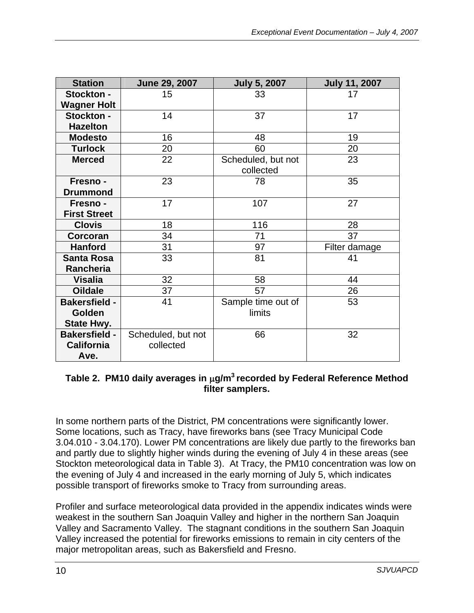<span id="page-9-0"></span>

| <b>Station</b>       | June 29, 2007      | <b>July 5, 2007</b> | <b>July 11, 2007</b> |
|----------------------|--------------------|---------------------|----------------------|
| <b>Stockton -</b>    | 15                 | 33                  | 17                   |
| <b>Wagner Holt</b>   |                    |                     |                      |
| Stockton -           | 14                 | 37                  | 17                   |
| <b>Hazelton</b>      |                    |                     |                      |
| <b>Modesto</b>       | 16                 | 48                  | 19                   |
| <b>Turlock</b>       | 20                 | 60                  | 20                   |
| <b>Merced</b>        | 22                 | Scheduled, but not  | 23                   |
|                      |                    | collected           |                      |
| Fresno -             | 23                 | 78                  | 35                   |
| <b>Drummond</b>      |                    |                     |                      |
| Fresno -             | 17                 | 107                 | 27                   |
| <b>First Street</b>  |                    |                     |                      |
| <b>Clovis</b>        | 18                 | 116                 | 28                   |
| Corcoran             | 34                 | 71                  | 37                   |
| <b>Hanford</b>       | 31                 | 97                  | Filter damage        |
| <b>Santa Rosa</b>    | 33                 | 81                  | 41                   |
| <b>Rancheria</b>     |                    |                     |                      |
| <b>Visalia</b>       | 32                 | 58                  | 44                   |
| <b>Oildale</b>       | 37                 | 57                  | 26                   |
| <b>Bakersfield -</b> | 41                 | Sample time out of  | 53                   |
| Golden               |                    | limits              |                      |
| <b>State Hwy.</b>    |                    |                     |                      |
| <b>Bakersfield -</b> | Scheduled, but not | 66                  | 32                   |
| <b>California</b>    | collected          |                     |                      |
| Ave.                 |                    |                     |                      |

#### **Table 2. PM10 daily averages in** μ**g/m3 recorded by Federal Reference Method filter samplers.**

In some northern parts of the District, PM concentrations were significantly lower. Some locations, such as Tracy, have fireworks bans (see Tracy Municipal Code 3.04.010 - 3.04.170). Lower PM concentrations are likely due partly to the fireworks ban and partly due to slightly higher winds during the evening of July 4 in these areas (see Stockton meteorological data in Table 3). At Tracy, the PM10 concentration was low on the evening of July 4 and increased in the early morning of July 5, which indicates possible transport of fireworks smoke to Tracy from surrounding areas.

Profiler and surface meteorological data provided in the appendix indicates winds were weakest in the southern San Joaquin Valley and higher in the northern San Joaquin Valley and Sacramento Valley. The stagnant conditions in the southern San Joaquin Valley increased the potential for fireworks emissions to remain in city centers of the major metropolitan areas, such as Bakersfield and Fresno.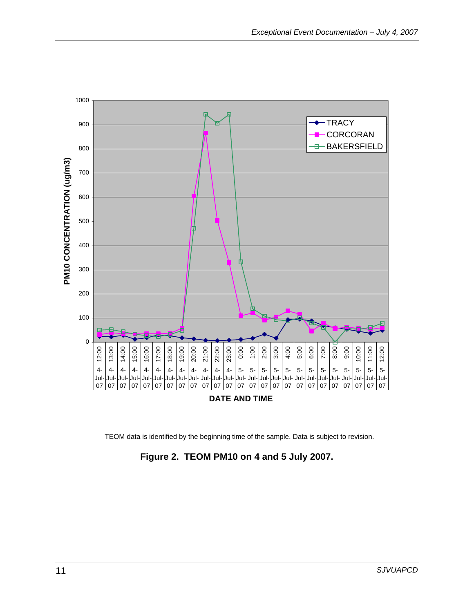<span id="page-10-0"></span>

TEOM data is identified by the beginning time of the sample. Data is subject to revision.

**Figure 2. TEOM PM10 on 4 and 5 July 2007.**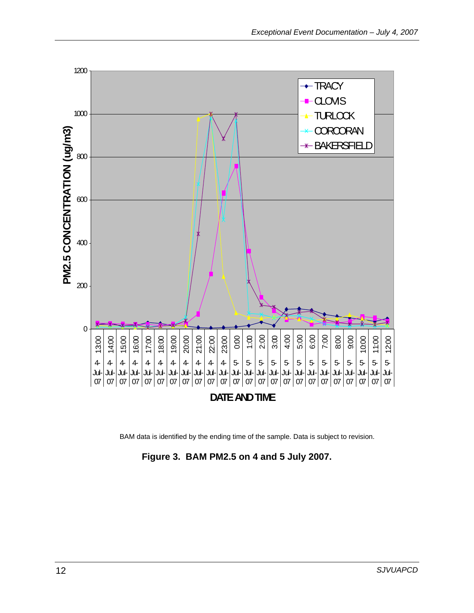<span id="page-11-0"></span>

BAM data is identified by the ending time of the sample. Data is subject to revision.

**Figure 3. BAM PM2.5 on 4 and 5 July 2007.**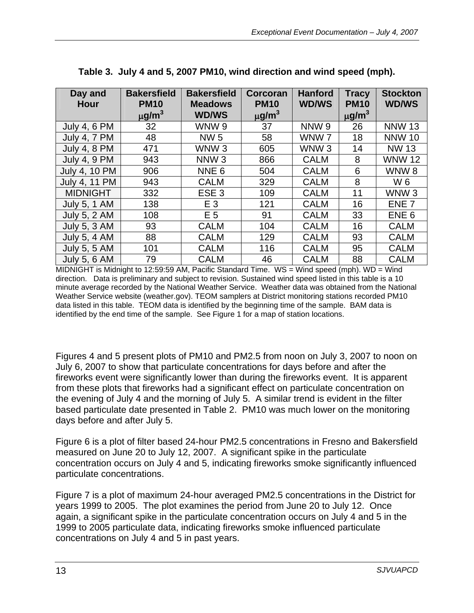<span id="page-12-0"></span>

| Day and              | <b>Bakersfield</b>     | <b>Bakersfield</b> | Corcoran               | <b>Hanford</b>   | <b>Tracy</b>           | <b>Stockton</b>  |
|----------------------|------------------------|--------------------|------------------------|------------------|------------------------|------------------|
| <b>Hour</b>          | <b>PM10</b>            | <b>Meadows</b>     | <b>PM10</b>            | <b>WD/WS</b>     | <b>PM10</b>            | <b>WD/WS</b>     |
|                      | $\mu$ g/m <sup>3</sup> | <b>WD/WS</b>       | $\mu$ g/m <sup>3</sup> |                  | $\mu$ g/m <sup>3</sup> |                  |
| <b>July 4, 6 PM</b>  | 32                     | WNW 9              | 37                     | NNW <sub>9</sub> | 26                     | <b>NNW 13</b>    |
| <b>July 4, 7 PM</b>  | 48                     | <b>NW 5</b>        | 58                     | WNW <sub>7</sub> | 18                     | <b>NNW 10</b>    |
| <b>July 4, 8 PM</b>  | 471                    | WNW <sub>3</sub>   | 605                    | WNW <sub>3</sub> | 14                     | <b>NW 13</b>     |
| <b>July 4, 9 PM</b>  | 943                    | NNW <sub>3</sub>   | 866                    | <b>CALM</b>      | 8                      | <b>WNW 12</b>    |
| <b>July 4, 10 PM</b> | 906                    | NNE <sub>6</sub>   | 504                    | <b>CALM</b>      | 6                      | WNW <sub>8</sub> |
| July 4, 11 PM        | 943                    | <b>CALM</b>        | 329                    | <b>CALM</b>      | 8                      | W 6              |
| <b>MIDNIGHT</b>      | 332                    | ESE <sub>3</sub>   | 109                    | <b>CALM</b>      | 11                     | WNW <sub>3</sub> |
| <b>July 5, 1 AM</b>  | 138                    | $E_3$              | 121                    | <b>CALM</b>      | 16                     | ENE <sub>7</sub> |
| <b>July 5, 2 AM</b>  | 108                    | E <sub>5</sub>     | 91                     | <b>CALM</b>      | 33                     | ENE <sub>6</sub> |
| <b>July 5, 3 AM</b>  | 93                     | <b>CALM</b>        | 104                    | <b>CALM</b>      | 16                     | <b>CALM</b>      |
| <b>July 5, 4 AM</b>  | 88                     | <b>CALM</b>        | 129                    | <b>CALM</b>      | 93                     | <b>CALM</b>      |
| <b>July 5, 5 AM</b>  | 101                    | <b>CALM</b>        | 116                    | <b>CALM</b>      | 95                     | <b>CALM</b>      |
| <b>July 5, 6 AM</b>  | 79                     | <b>CALM</b>        | 46                     | <b>CALM</b>      | 88                     | <b>CALM</b>      |

|  |  | Table 3. July 4 and 5, 2007 PM10, wind direction and wind speed (mph). |  |
|--|--|------------------------------------------------------------------------|--|
|  |  |                                                                        |  |

MIDNIGHT is Midnight to 12:59:59 AM, Pacific Standard Time. WS = Wind speed (mph). WD = Wind direction. Data is preliminary and subject to revision. Sustained wind speed listed in this table is a 10 minute average recorded by the National Weather Service. Weather data was obtained from the National Weather Service website (weather.gov). TEOM samplers at District monitoring stations recorded PM10 data listed in this table. TEOM data is identified by the beginning time of the sample. BAM data is identified by the end time of the sample. See Figure 1 for a map of station locations.

Figures 4 and 5 present plots of PM10 and PM2.5 from noon on July 3, 2007 to noon on July 6, 2007 to show that particulate concentrations for days before and after the fireworks event were significantly lower than during the fireworks event. It is apparent from these plots that fireworks had a significant effect on particulate concentration on the evening of July 4 and the morning of July 5. A similar trend is evident in the filter based particulate date presented in Table 2. PM10 was much lower on the monitoring days before and after July 5.

Figure 6 is a plot of filter based 24-hour PM2.5 concentrations in Fresno and Bakersfield measured on June 20 to July 12, 2007. A significant spike in the particulate concentration occurs on July 4 and 5, indicating fireworks smoke significantly influenced particulate concentrations.

Figure 7 is a plot of maximum 24-hour averaged PM2.5 concentrations in the District for years 1999 to 2005. The plot examines the period from June 20 to July 12. Once again, a significant spike in the particulate concentration occurs on July 4 and 5 in the 1999 to 2005 particulate data, indicating fireworks smoke influenced particulate concentrations on July 4 and 5 in past years.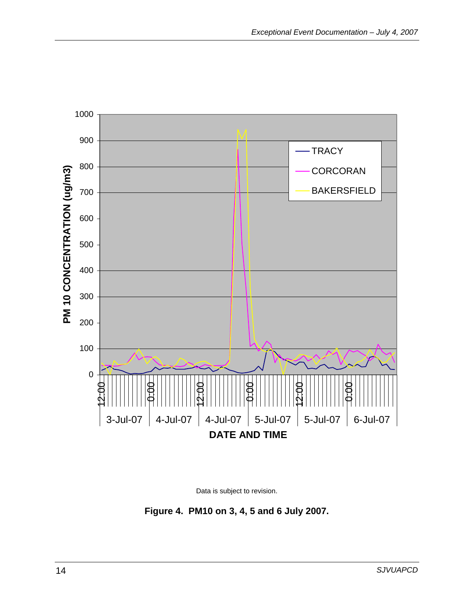<span id="page-13-0"></span>

Data is subject to revision.

**Figure 4. PM10 on 3, 4, 5 and 6 July 2007.**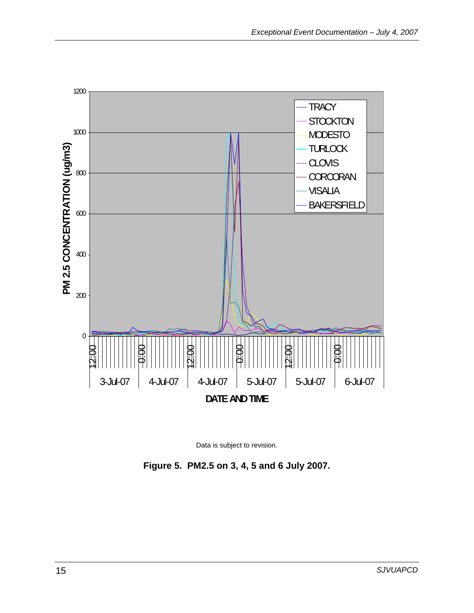<span id="page-14-0"></span>



**Figure 5. PM2.5 on 3, 4, 5 and 6 July 2007.**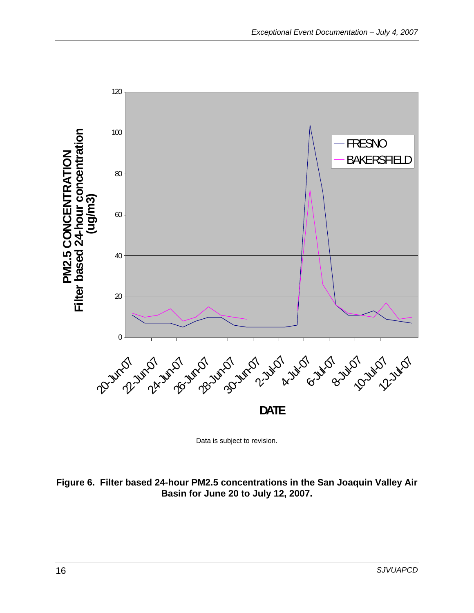<span id="page-15-0"></span>

Data is subject to revision.

#### **Figure 6. Filter based 24-hour PM2.5 concentrations in the San Joaquin Valley Air Basin for June 20 to July 12, 2007.**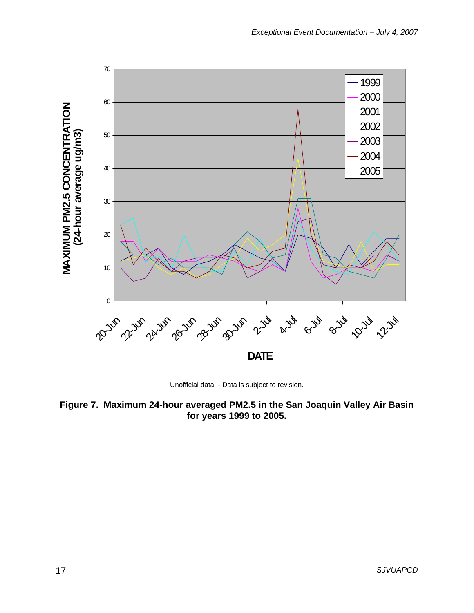<span id="page-16-0"></span>

Unofficial data - Data is subject to revision.

**Figure 7. Maximum 24-hour averaged PM2.5 in the San Joaquin Valley Air Basin for years 1999 to 2005.**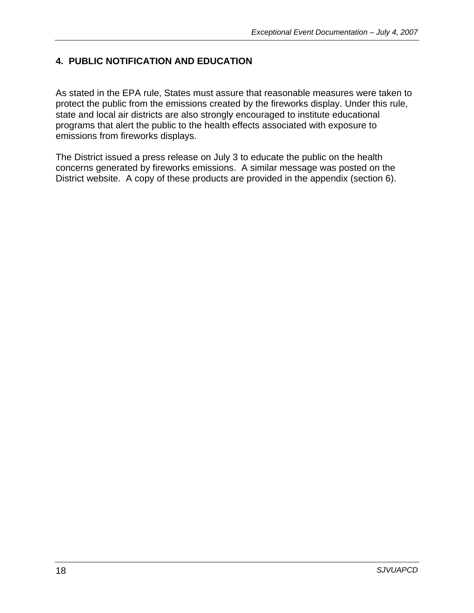# <span id="page-17-0"></span>**4. PUBLIC NOTIFICATION AND EDUCATION**

As stated in the EPA rule, States must assure that reasonable measures were taken to protect the public from the emissions created by the fireworks display. Under this rule, state and local air districts are also strongly encouraged to institute educational programs that alert the public to the health effects associated with exposure to emissions from fireworks displays.

The District issued a press release on July 3 to educate the public on the health concerns generated by fireworks emissions. A similar message was posted on the District website. A copy of these products are provided in the appendix (section 6).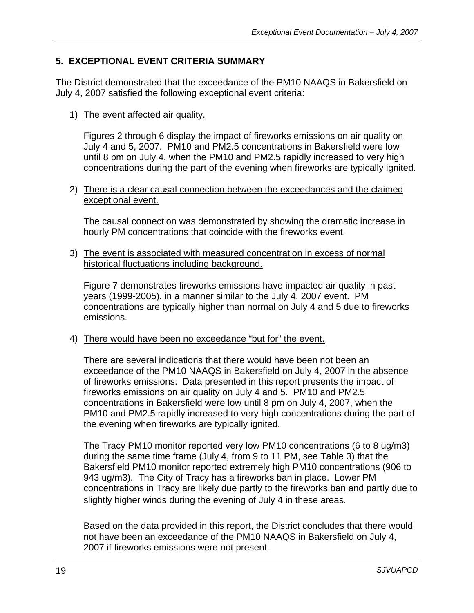# <span id="page-18-0"></span>**5. EXCEPTIONAL EVENT CRITERIA SUMMARY**

The District demonstrated that the exceedance of the PM10 NAAQS in Bakersfield on July 4, 2007 satisfied the following exceptional event criteria:

1) The event affected air quality.

Figures 2 through 6 display the impact of fireworks emissions on air quality on July 4 and 5, 2007. PM10 and PM2.5 concentrations in Bakersfield were low until 8 pm on July 4, when the PM10 and PM2.5 rapidly increased to very high concentrations during the part of the evening when fireworks are typically ignited.

2) There is a clear causal connection between the exceedances and the claimed exceptional event.

The causal connection was demonstrated by showing the dramatic increase in hourly PM concentrations that coincide with the fireworks event.

3) The event is associated with measured concentration in excess of normal historical fluctuations including background.

Figure 7 demonstrates fireworks emissions have impacted air quality in past years (1999-2005), in a manner similar to the July 4, 2007 event. PM concentrations are typically higher than normal on July 4 and 5 due to fireworks emissions.

4) There would have been no exceedance "but for" the event.

There are several indications that there would have been not been an exceedance of the PM10 NAAQS in Bakersfield on July 4, 2007 in the absence of fireworks emissions. Data presented in this report presents the impact of fireworks emissions on air quality on July 4 and 5. PM10 and PM2.5 concentrations in Bakersfield were low until 8 pm on July 4, 2007, when the PM10 and PM2.5 rapidly increased to very high concentrations during the part of the evening when fireworks are typically ignited.

The Tracy PM10 monitor reported very low PM10 concentrations (6 to 8 ug/m3) during the same time frame (July 4, from 9 to 11 PM, see Table 3) that the Bakersfield PM10 monitor reported extremely high PM10 concentrations (906 to 943 ug/m3). The City of Tracy has a fireworks ban in place. Lower PM concentrations in Tracy are likely due partly to the fireworks ban and partly due to slightly higher winds during the evening of July 4 in these areas.

Based on the data provided in this report, the District concludes that there would not have been an exceedance of the PM10 NAAQS in Bakersfield on July 4, 2007 if fireworks emissions were not present.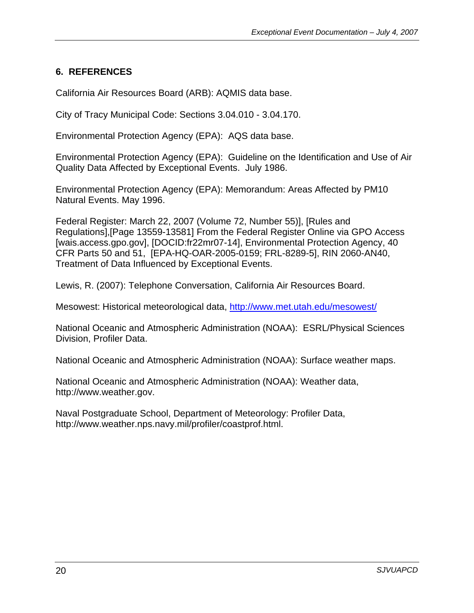### <span id="page-19-0"></span>**6. REFERENCES**

California Air Resources Board (ARB): AQMIS data base.

City of Tracy Municipal Code: Sections 3.04.010 - 3.04.170.

Environmental Protection Agency (EPA): AQS data base.

Environmental Protection Agency (EPA): Guideline on the Identification and Use of Air Quality Data Affected by Exceptional Events. July 1986.

Environmental Protection Agency (EPA): Memorandum: Areas Affected by PM10 Natural Events. May 1996.

Federal Register: March 22, 2007 (Volume 72, Number 55)], [Rules and Regulations],[Page 13559-13581] From the Federal Register Online via GPO Access [wais.access.gpo.gov], [DOCID:fr22mr07-14], Environmental Protection Agency, 40 CFR Parts 50 and 51, [EPA-HQ-OAR-2005-0159; FRL-8289-5], RIN 2060-AN40, Treatment of Data Influenced by Exceptional Events.

Lewis, R. (2007): Telephone Conversation, California Air Resources Board.

Mesowest: Historical meteorological data, <http://www.met.utah.edu/mesowest/>

National Oceanic and Atmospheric Administration (NOAA): ESRL/Physical Sciences Division, Profiler Data.

National Oceanic and Atmospheric Administration (NOAA): Surface weather maps.

National Oceanic and Atmospheric Administration (NOAA): Weather data, http://www.weather.gov.

Naval Postgraduate School, Department of Meteorology: Profiler Data, http://www.weather.nps.navy.mil/profiler/coastprof.html.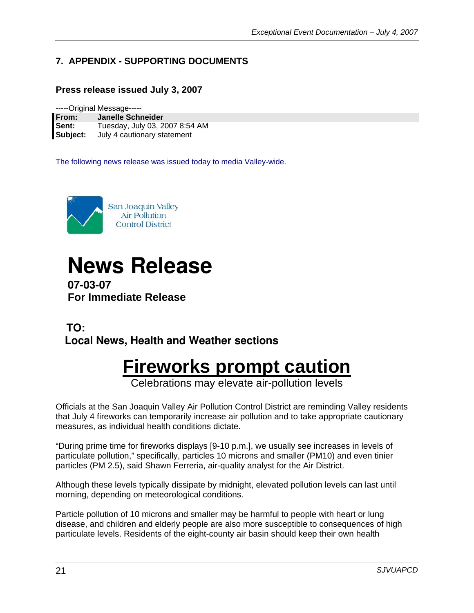# <span id="page-20-0"></span>**7. APPENDIX - SUPPORTING DOCUMENTS**

#### **Press release issued July 3, 2007**

-----Original Message-----

| <b>From:</b> | <b>Janelle Schneider</b>       |
|--------------|--------------------------------|
| Sent:        | Tuesday, July 03, 2007 8:54 AM |
| Subject:     | July 4 cautionary statement    |

The following news release was issued today to media Valley-wide.



# **News Release**

 **07-03-07 For Immediate Release**

# **TO: Local News, Health and Weather sections**

# **Fireworks prompt caution**

Celebrations may elevate air-pollution levels

Officials at the San Joaquin Valley Air Pollution Control District are reminding Valley residents that July 4 fireworks can temporarily increase air pollution and to take appropriate cautionary measures, as individual health conditions dictate.

"During prime time for fireworks displays [9-10 p.m.], we usually see increases in levels of particulate pollution," specifically, particles 10 microns and smaller (PM10) and even tinier particles (PM 2.5), said Shawn Ferreria, air-quality analyst for the Air District.

Although these levels typically dissipate by midnight, elevated pollution levels can last until morning, depending on meteorological conditions.

Particle pollution of 10 microns and smaller may be harmful to people with heart or lung disease, and children and elderly people are also more susceptible to consequences of high particulate levels. Residents of the eight-county air basin should keep their own health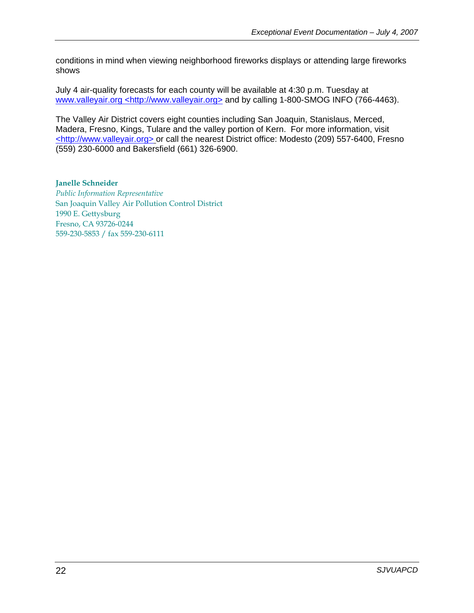conditions in mind when viewing neighborhood fireworks displays or attending large fireworks shows

July 4 air-quality forecasts for each county will be available at 4:30 p.m. Tuesday at www.valleyair.org <http://www.valleyair.org> and by calling 1-800-SMOG INFO (766-4463).

The Valley Air District covers eight counties including San Joaquin, Stanislaus, Merced, Madera, Fresno, Kings, Tulare and the valley portion of Kern. For more information, visit <http://www.valleyair.org> or call the nearest District office: Modesto (209) 557-6400, Fresno (559) 230-6000 and Bakersfield (661) 326-6900.

**Janelle Schneider**  *Public Information Representative*  San Joaquin Valley Air Pollution Control District 1990 E. Gettysburg Fresno, CA 93726-0244 559-230-5853 / fax 559-230-6111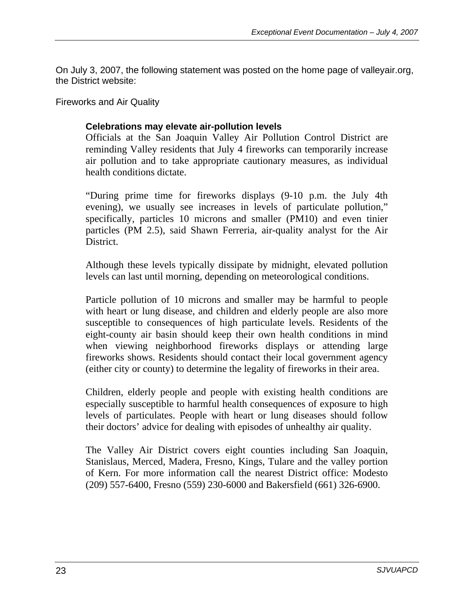On July 3, 2007, the following statement was posted on the home page of valleyair.org, the District website:

Fireworks and Air Quality

#### **Celebrations may elevate air-pollution levels**

Officials at the San Joaquin Valley Air Pollution Control District are reminding Valley residents that July 4 fireworks can temporarily increase air pollution and to take appropriate cautionary measures, as individual health conditions dictate.

"During prime time for fireworks displays (9-10 p.m. the July 4th evening), we usually see increases in levels of particulate pollution," specifically, particles 10 microns and smaller (PM10) and even tinier particles (PM 2.5), said Shawn Ferreria, air-quality analyst for the Air District.

Although these levels typically dissipate by midnight, elevated pollution levels can last until morning, depending on meteorological conditions.

Particle pollution of 10 microns and smaller may be harmful to people with heart or lung disease, and children and elderly people are also more susceptible to consequences of high particulate levels. Residents of the eight-county air basin should keep their own health conditions in mind when viewing neighborhood fireworks displays or attending large fireworks shows. Residents should contact their local government agency (either city or county) to determine the legality of fireworks in their area.

Children, elderly people and people with existing health conditions are especially susceptible to harmful health consequences of exposure to high levels of particulates. People with heart or lung diseases should follow their doctors' advice for dealing with episodes of unhealthy air quality.

The Valley Air District covers eight counties including San Joaquin, Stanislaus, Merced, Madera, Fresno, Kings, Tulare and the valley portion of Kern. For more information call the nearest District office: Modesto (209) 557-6400, Fresno (559) 230-6000 and Bakersfield (661) 326-6900.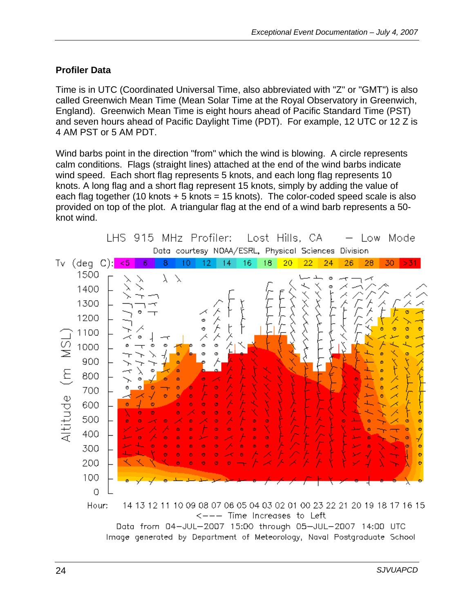### **Profiler Data**

Time is in UTC (Coordinated Universal Time, also abbreviated with "Z" or "GMT") is also called Greenwich Mean Time (Mean Solar Time at the Royal Observatory in Greenwich, England). Greenwich Mean Time is eight hours ahead of Pacific Standard Time (PST) and seven hours ahead of Pacific Daylight Time (PDT). For example, 12 UTC or 12 Z is 4 AM PST or 5 AM PDT.

Wind barbs point in the direction "from" which the wind is blowing. A circle represents calm conditions. Flags (straight lines) attached at the end of the wind barbs indicate wind speed. Each short flag represents 5 knots, and each long flag represents 10 knots. A long flag and a short flag represent 15 knots, simply by adding the value of each flag together (10 knots  $+5$  knots = 15 knots). The color-coded speed scale is also provided on top of the plot. A triangular flag at the end of a wind barb represents a 50 knot wind.

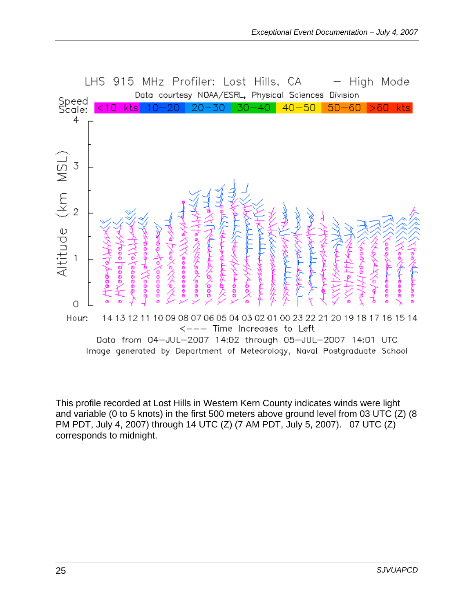

This profile recorded at Lost Hills in Western Kern County indicates winds were light and variable (0 to 5 knots) in the first 500 meters above ground level from 03 UTC (Z) (8 PM PDT, July 4, 2007) through 14 UTC (Z) (7 AM PDT, July 5, 2007). 07 UTC (Z) corresponds to midnight.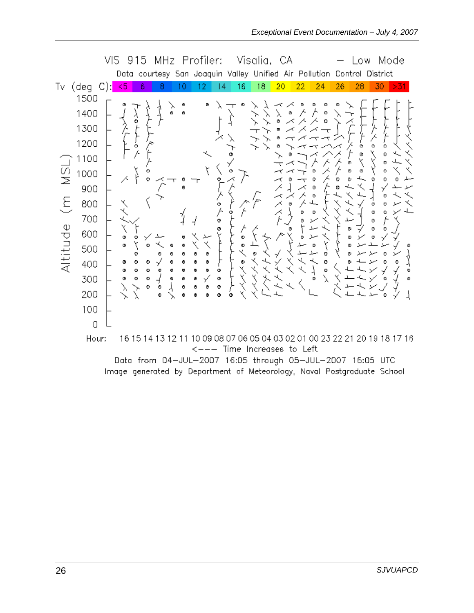|                                |                                                                                                                           | VIS |                            | 915                                                                      |                  |                            |                                                     |                                                             | MHz Profiler:                             |   |        | Visalia, CA            |    |    |        |        | .ow                                                                                                                                |                            | Mode |        |
|--------------------------------|---------------------------------------------------------------------------------------------------------------------------|-----|----------------------------|--------------------------------------------------------------------------|------------------|----------------------------|-----------------------------------------------------|-------------------------------------------------------------|-------------------------------------------|---|--------|------------------------|----|----|--------|--------|------------------------------------------------------------------------------------------------------------------------------------|----------------------------|------|--------|
|                                |                                                                                                                           |     |                            | Data courtesy San Joaquin Valley Unified Air Pollution Control           |                  |                            |                                                     |                                                             |                                           |   |        |                        |    |    |        |        |                                                                                                                                    | District                   |      |        |
| Tv                             | $(\text{deg } C):$                                                                                                        |     | $5$                        | 6                                                                        | 8                |                            | 10                                                  | 12                                                          | 14                                        |   | 16     | 18                     | 20 | 22 | 24     | 26     | 28                                                                                                                                 | 30                         | >31  |        |
| $\frac{1}{2}$<br>Ξ<br>Altitude | 1500<br>1400<br>1300<br>1200<br>1100<br>1000<br>900<br>800<br>700<br>600<br>500<br>400<br>300<br>200<br>100<br>O<br>Hour: |     | X<br>ø<br>ø<br>o<br>Φ<br>Φ | Ø<br>۰<br>۰<br>O<br>Φ<br>ο<br>۰<br>۰<br>ø<br>۰<br>Ø<br>16 15 14 13 12 11 | O<br>σ<br>۰<br>O | ٥<br>٥<br>٥<br>٥<br>σ<br>Ø | Ø<br>٥<br>O<br>Φ<br>o<br>۰<br>٥<br>o<br>ø<br>O<br>٥ | D<br>O<br>o<br>O<br>o<br>ø<br>۰<br>o<br>Φ<br><u>&lt;---</u> | Ø<br>o<br>o<br>o<br>۰<br>ø<br>ø<br>Ø<br>Φ | o | o<br>۰ | Time Increases to Left |    |    | Ø<br>ø | Ф<br>Ø | o<br>10 09 08 07 06 05 04 03 02 01 00 23 22 21 20 19 18 17 16<br><u> Data from 04–JUL–2007 16:05 through 05–JUL–2007 16:05 UTC</u> | O<br>ø<br>Φ<br>O<br>Φ<br>Ō |      | Ø<br>ø |

Data from 04—JUL—2007 16:05 through 05—JUL—2007 16:05 UTC Image generated by Department of Meteorology, Naval Postgraduate School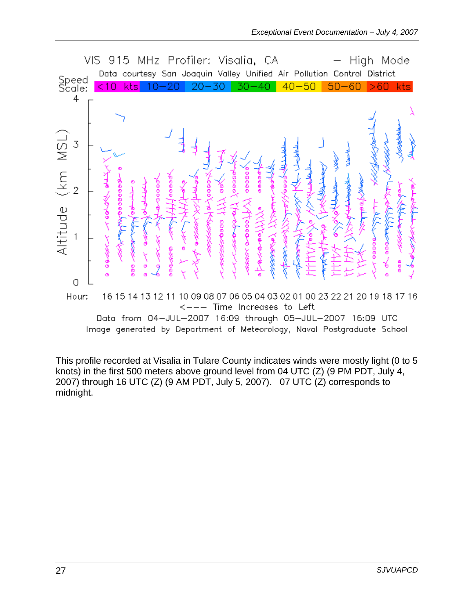

This profile recorded at Visalia in Tulare County indicates winds were mostly light (0 to 5 knots) in the first 500 meters above ground level from 04 UTC (Z) (9 PM PDT, July 4, 2007) through 16 UTC (Z) (9 AM PDT, July 5, 2007). 07 UTC (Z) corresponds to midnight.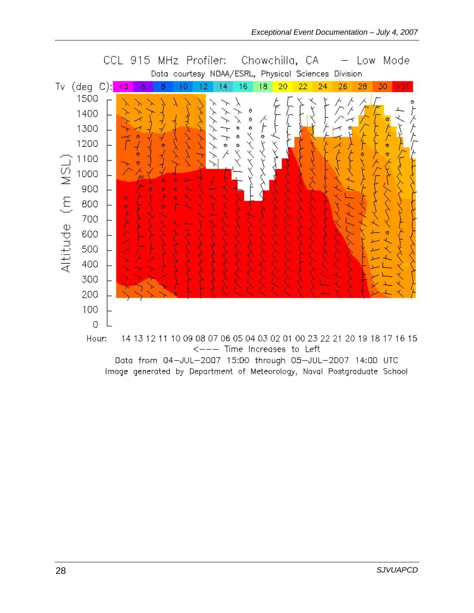

Data from 04-JUL-2007 15:00 through 05-JUL-2007 14:00 UTC Image generated by Department of Meteorology, Naval Postgraduate School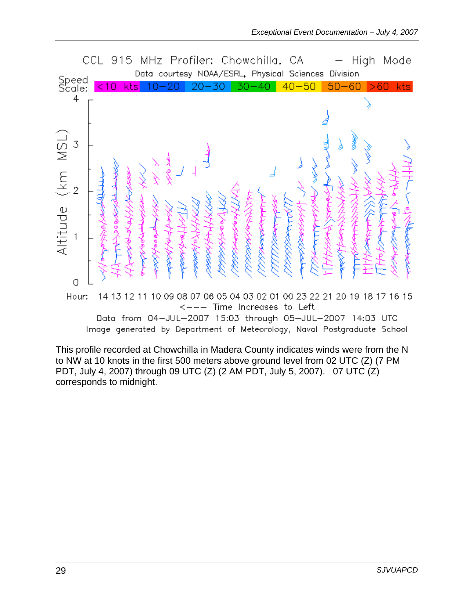

This profile recorded at Chowchilla in Madera County indicates winds were from the N to NW at 10 knots in the first 500 meters above ground level from 02 UTC (Z) (7 PM PDT, July 4, 2007) through 09 UTC (Z) (2 AM PDT, July 5, 2007). 07 UTC (Z) corresponds to midnight.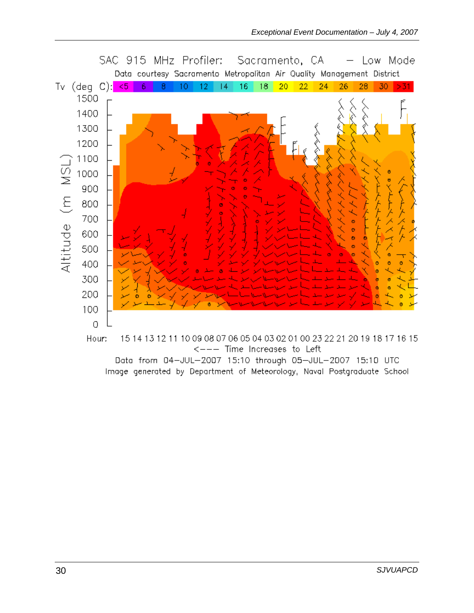

Data from 04-JUL-2007 15:10 through 05-JUL-2007 15:10 UTC Image generated by Department of Meteorology, Naval Postgraduate School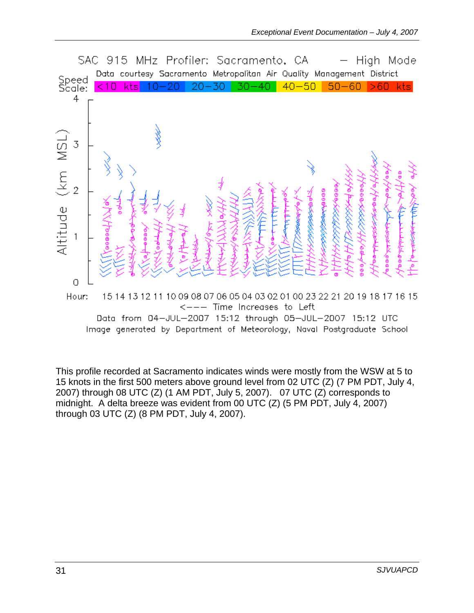

This profile recorded at Sacramento indicates winds were mostly from the WSW at 5 to 15 knots in the first 500 meters above ground level from 02 UTC (Z) (7 PM PDT, July 4, 2007) through 08 UTC (Z) (1 AM PDT, July 5, 2007). 07 UTC (Z) corresponds to midnight. A delta breeze was evident from 00 UTC (Z) (5 PM PDT, July 4, 2007) through 03 UTC (Z) (8 PM PDT, July 4, 2007).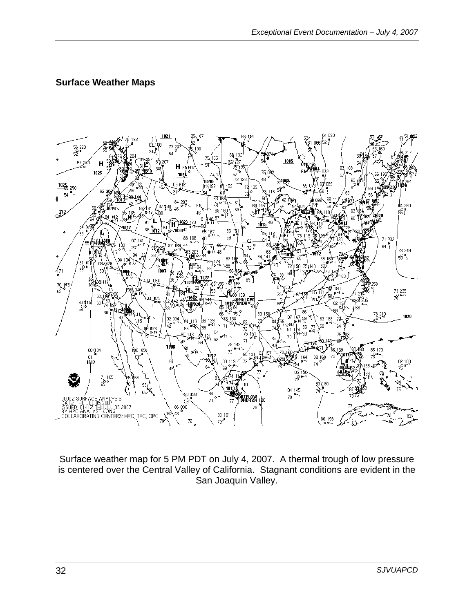#### **Surface Weather Maps**



Surface weather map for 5 PM PDT on July 4, 2007. A thermal trough of low pressure is centered over the Central Valley of California. Stagnant conditions are evident in the San Joaquin Valley.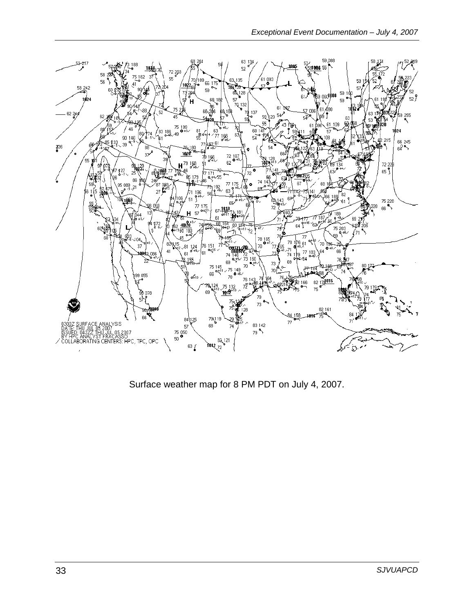

Surface weather map for 8 PM PDT on July 4, 2007.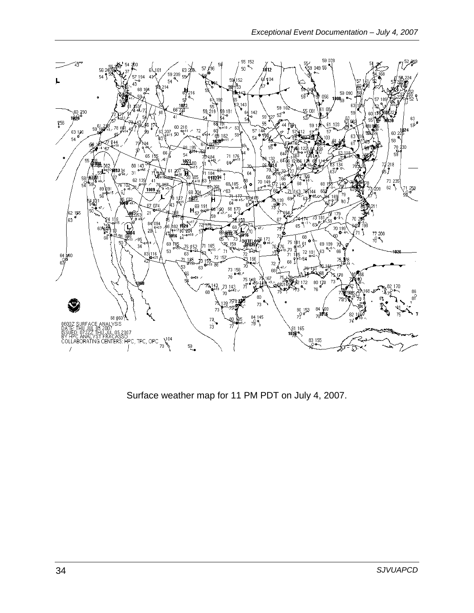![](_page_33_Figure_1.jpeg)

Surface weather map for 11 PM PDT on July 4, 2007.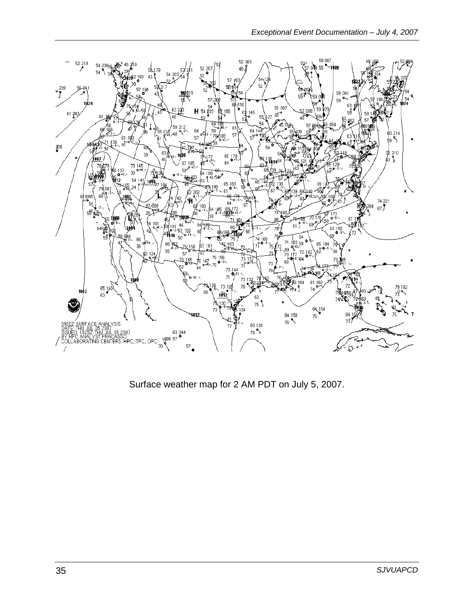![](_page_34_Figure_1.jpeg)

Surface weather map for 2 AM PDT on July 5, 2007.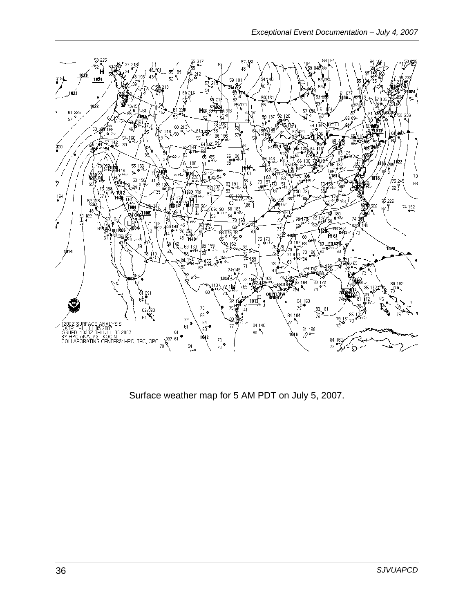![](_page_35_Figure_1.jpeg)

Surface weather map for 5 AM PDT on July 5, 2007.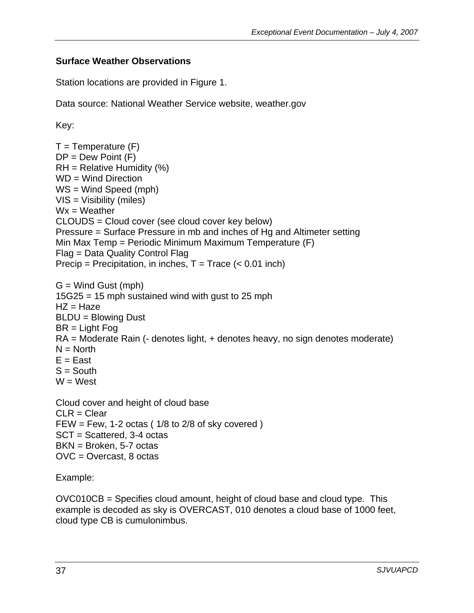#### **Surface Weather Observations**

Station locations are provided in Figure 1.

Data source: National Weather Service website, weather.gov

Key:

 $T =$ Temperature  $(F)$  $DP = Dew Point (F)$  $RH =$  Relative Humidity (%) WD = Wind Direction WS = Wind Speed (mph) VIS = Visibility (miles)  $Wx = Weather$ CLOUDS = Cloud cover (see cloud cover key below) Pressure = Surface Pressure in mb and inches of Hg and Altimeter setting Min Max Temp = Periodic Minimum Maximum Temperature (F) Flag = Data Quality Control Flag Precip = Precipitation, in inches,  $T = Trace$  (< 0.01 inch)  $G =$  Wind Gust (mph) 15G25 = 15 mph sustained wind with gust to 25 mph  $HZ = Haze$ BLDU = Blowing Dust BR = Light Fog RA = Moderate Rain (- denotes light, + denotes heavy, no sign denotes moderate)  $N = North$  $E = East$  $S =$  South  $W = West$ Cloud cover and height of cloud base  $CLR = Clear$ FEW = Few, 1-2 octas  $(1/8$  to  $2/8$  of sky covered  $)$ SCT = Scattered, 3-4 octas BKN = Broken, 5-7 octas OVC = Overcast, 8 octas

Example:

OVC010CB = Specifies cloud amount, height of cloud base and cloud type. This example is decoded as sky is OVERCAST, 010 denotes a cloud base of 1000 feet, cloud type CB is cumulonimbus.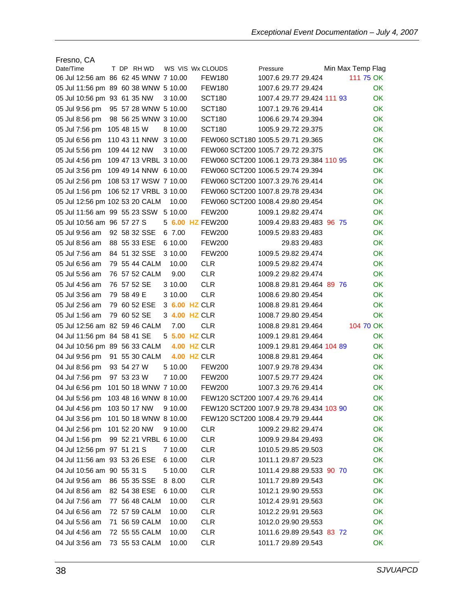| Fresno, CA                           |             |  |                        |                    |                                          |                                   |          |                            |  |                   |
|--------------------------------------|-------------|--|------------------------|--------------------|------------------------------------------|-----------------------------------|----------|----------------------------|--|-------------------|
| Date/Time                            |             |  | T DP RHWD              |                    | WS VIS Wx CLOUDS                         |                                   | Pressure |                            |  | Min Max Temp Flag |
| 06 Jul 12:56 am 86 62 45 WNW 7 10.00 |             |  |                        |                    | <b>FEW180</b>                            |                                   |          | 1007.6 29.77 29.424        |  | 111 75 OK         |
| 05 Jul 11:56 pm 89 60 38 WNW 5 10.00 |             |  |                        |                    | FEW180                                   |                                   |          | 1007.6 29.77 29.424        |  | ОK                |
| 05 Jul 10:56 pm 93 61 35 NW          |             |  |                        | 3 10.00            | <b>SCT180</b>                            |                                   |          | 1007.4 29.77 29.424 111 93 |  | OK.               |
| 05 Jul 9:56 pm                       |             |  | 95 57 28 WNW 5 10.00   |                    | <b>SCT180</b>                            |                                   |          | 1007.1 29.76 29.414        |  | OK.               |
| 05 Jul 8:56 pm                       |             |  | 98 56 25 WNW 3 10.00   |                    | <b>SCT180</b>                            |                                   |          | 1006.6 29.74 29.394        |  | OK.               |
| 05 Jul 7:56 pm                       | 105 48 15 W |  |                        | 8 10.00            | <b>SCT180</b>                            |                                   |          | 1005.9 29.72 29.375        |  | OK.               |
| 05 Jul 6:56 pm                       |             |  | 110 43 11 NNW 3 10.00  |                    | FEW060 SCT180 1005.5 29.71 29.365        |                                   |          |                            |  | <b>OK</b>         |
| 05 Jul 5:56 pm                       |             |  | 109 44 12 NW           | 3 10.00            | FEW060 SCT200 1005.7 29.72 29.375        |                                   |          |                            |  | OK.               |
| 05 Jul 4:56 pm                       |             |  | 109 47 13 VRBL 3 10.00 |                    | FEW060 SCT200 1006.1 29.73 29.384 110 95 |                                   |          |                            |  | 0K                |
| 05 Jul 3:56 pm                       |             |  | 109 49 14 NNW 6 10.00  |                    | FEW060 SCT200 1006.5 29.74 29.394        |                                   |          |                            |  | <b>OK</b>         |
| 05 Jul 2:56 pm                       |             |  | 108 53 17 WSW 7 10.00  |                    | FEW060 SCT200 1007.3 29.76 29.414        |                                   |          |                            |  | <b>OK</b>         |
| 05 Jul 1:56 pm                       |             |  | 106 52 17 VRBL 3 10.00 |                    | FEW060 SCT200 1007.8 29.78 29.434        |                                   |          |                            |  | <b>OK</b>         |
| 05 Jul 12:56 pm 102 53 20 CALM       |             |  |                        | 10.00              | FEW060 SCT200 1008.4 29.80 29.454        |                                   |          |                            |  | <b>OK</b>         |
| 05 Jul 11:56 am 99 55 23 SSW 5 10.00 |             |  |                        |                    | <b>FEW200</b>                            |                                   |          | 1009.1 29.82 29.474        |  | <b>OK</b>         |
| 05 Jul 10:56 am 96 57 27 S           |             |  |                        |                    | 5 6.00 HZ FEW200                         |                                   |          | 1009.4 29.83 29.483 96 75  |  | OK.               |
| 05 Jul 9:56 am                       |             |  | 92 58 32 SSE           | 6 7.00             | <b>FEW200</b>                            |                                   |          | 1009.5 29.83 29.483        |  | OK.               |
| 05 Jul 8:56 am                       |             |  | 88 55 33 ESE           | 6 10.00            | <b>FEW200</b>                            |                                   |          | 29.83 29.483               |  | OK.               |
| 05 Jul 7:56 am                       |             |  | 84 51 32 SSE           | 3 10.00            | <b>FEW200</b>                            |                                   |          | 1009.5 29.82 29.474        |  | <b>OK</b>         |
| 05 Jul 6:56 am                       |             |  | 79 55 44 CALM          | 10.00              | <b>CLR</b>                               |                                   |          | 1009.5 29.82 29.474        |  | OK.               |
| 05 Jul 5:56 am                       |             |  | 76 57 52 CALM          | 9.00               | <b>CLR</b>                               |                                   |          | 1009.2 29.82 29.474        |  | OK.               |
| 05 Jul 4:56 am                       | 76 57 52 SE |  |                        | 3 10.00            | <b>CLR</b>                               |                                   |          | 1008.8 29.81 29.464 89 76  |  | <b>OK</b>         |
| 05 Jul 3:56 am                       | 79 58 49 E  |  |                        | 3 10.00            | <b>CLR</b>                               |                                   |          | 1008.6 29.80 29.454        |  | <b>OK</b>         |
| 05 Jul 2:56 am                       | 79          |  | 60 52 ESE              | 3 6.00 HZ CLR      |                                          |                                   |          | 1008.8 29.81 29.464        |  | <b>OK</b>         |
| 05 Jul 1:56 am                       |             |  | 79 60 52 SE            | 3 4.00 HZ CLR      |                                          |                                   |          | 1008.7 29.80 29.454        |  | OK.               |
|                                      |             |  |                        |                    |                                          |                                   |          |                            |  |                   |
| 05 Jul 12:56 am 82 59 46 CALM        |             |  |                        | 7.00               | <b>CLR</b>                               |                                   |          | 1008.8 29.81 29.464        |  | 104 70 OK         |
| 04 Jul 11:56 pm 84 58 41 SE          |             |  |                        | 5 5.00 HZ CLR      |                                          |                                   |          | 1009.1 29.81 29.464        |  | OK.               |
| 04 Jul 10:56 pm 89 56 33 CALM        |             |  |                        | <b>4.00 HZ CLR</b> |                                          |                                   |          | 1009.1 29.81 29.464 104 89 |  | OK.               |
| 04 Jul 9:56 pm                       |             |  | 91 55 30 CALM          | <b>4.00 HZ CLR</b> |                                          |                                   |          | 1008.8 29.81 29.464        |  | OK.               |
| 04 Jul 8:56 pm                       | 93 54 27 W  |  |                        | 5 10.00            | <b>FEW200</b>                            |                                   |          | 1007.9 29.78 29.434        |  | OK.               |
| 04 Jul 7:56 pm                       | 97 53 23 W  |  |                        | 7 10.00            | <b>FEW200</b>                            |                                   |          | 1007.5 29.77 29.424        |  | <b>OK</b>         |
| 04 Jul 6:56 pm                       |             |  | 101 50 18 WNW 7 10.00  |                    | <b>FEW200</b>                            |                                   |          | 1007.3 29.76 29.414        |  | OK                |
| 04 Jul 5:56 pm                       |             |  | 103 48 16 WNW 8 10.00  |                    |                                          | FEW120 SCT200 1007.4 29.76 29.414 |          |                            |  | ОK                |
| 04 Jul 4:56 pm                       |             |  | 103 50 17 NW           | 9 10.00            | FEW120 SCT200 1007.9 29.78 29.434 103 90 |                                   |          |                            |  | OK                |
| 04 Jul 3:56 pm                       |             |  | 101 50 18 WNW 8 10.00  |                    | FEW120 SCT200 1008.4 29.79 29.444        |                                   |          |                            |  | OK                |
| 04 Jul 2:56 pm                       |             |  | 101 52 20 NW           | 9 10.00            | <b>CLR</b>                               |                                   |          | 1009.2 29.82 29.474        |  | OK                |
| 04 Jul 1:56 pm                       |             |  | 99 52 21 VRBL 6 10.00  |                    | <b>CLR</b>                               |                                   |          | 1009.9 29.84 29.493        |  | OK                |
| 04 Jul 12:56 pm 97 51 21 S           |             |  |                        | 7 10.00            | <b>CLR</b>                               |                                   |          | 1010.5 29.85 29.503        |  | OK                |
| 04 Jul 11:56 am 93 53 26 ESE         |             |  |                        | 6 10.00            | <b>CLR</b>                               |                                   |          | 1011.1 29.87 29.523        |  | OK                |
| 04 Jul 10:56 am 90 55 31 S           |             |  |                        | 5 10.00            | <b>CLR</b>                               |                                   |          | 1011.4 29.88 29.533 90 70  |  | OK                |
| 04 Jul 9:56 am                       |             |  | 86 55 35 SSE           | 8 8.00             | <b>CLR</b>                               |                                   |          | 1011.7 29.89 29.543        |  | <b>OK</b>         |
| 04 Jul 8:56 am                       |             |  | 82 54 38 ESE           | 6 10.00            | <b>CLR</b>                               |                                   |          | 1012.1 29.90 29.553        |  | <b>OK</b>         |
| 04 Jul 7:56 am                       |             |  | 77 56 48 CALM          | 10.00              | <b>CLR</b>                               |                                   |          | 1012.4 29.91 29.563        |  | OK                |
| 04 Jul 6:56 am                       |             |  | 72 57 59 CALM          | 10.00              | <b>CLR</b>                               |                                   |          | 1012.2 29.91 29.563        |  | OK.               |
| 04 Jul 5:56 am                       |             |  | 71 56 59 CALM          | 10.00              | <b>CLR</b>                               |                                   |          | 1012.0 29.90 29.553        |  | OK.               |
| 04 Jul 4:56 am                       |             |  | 72 55 55 CALM          | 10.00              | <b>CLR</b>                               |                                   |          | 1011.6 29.89 29.543 83 72  |  | OK.               |
| 04 Jul 3:56 am                       |             |  | 73 55 53 CALM          | 10.00              | <b>CLR</b>                               |                                   |          | 1011.7 29.89 29.543        |  | OK                |
|                                      |             |  |                        |                    |                                          |                                   |          |                            |  |                   |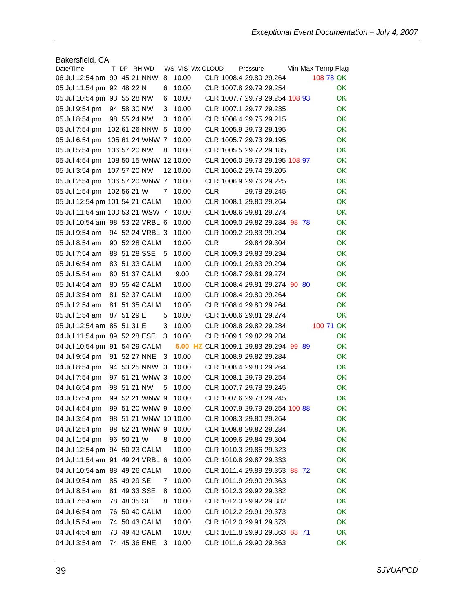| Bakersfield, CA                 |             |  |                       |   |                 |            |          |                                       |  |                   |           |
|---------------------------------|-------------|--|-----------------------|---|-----------------|------------|----------|---------------------------------------|--|-------------------|-----------|
| Date/Time                       |             |  | T DP RHWD             |   | WS VIS Wx CLOUD |            | Pressure |                                       |  | Min Max Temp Flag |           |
| 06 Jul 12:54 am 90 45 21 NNW    |             |  |                       | 8 | 10.00           |            |          | CLR 1008.4 29.80 29.264               |  | 108 78 OK         |           |
| 05 Jul 11:54 pm 92 48 22 N      |             |  |                       | 6 | 10.00           |            |          | CLR 1007.8 29.79 29.254               |  |                   | OK.       |
| 05 Jul 10:54 pm 93 55 28 NW     |             |  |                       | 6 | 10.00           |            |          | CLR 1007.7 29.79 29.254 108 93        |  |                   | OK        |
| 05 Jul 9:54 pm                  |             |  | 94 58 30 NW           | 3 | 10.00           |            |          | CLR 1007.1 29.77 29.235               |  |                   | OK.       |
| 05 Jul 8:54 pm                  |             |  | 98 55 24 NW           | 3 | 10.00           |            |          | CLR 1006.4 29.75 29.215               |  |                   | OK        |
| 05 Jul 7:54 pm                  |             |  | 102 61 26 NNW         | 5 | 10.00           |            |          | CLR 1005.9 29.73 29.195               |  |                   | <b>OK</b> |
| 05 Jul 6:54 pm                  |             |  | 105 61 24 WNW 7       |   | 10.00           |            |          | CLR 1005.7 29.73 29.195               |  |                   | OK        |
| 05 Jul 5:54 pm                  |             |  | 106 57 20 NW          | 8 | 10.00           |            |          | CLR 1005.5 29.72 29.185               |  |                   | OK.       |
| 05 Jul 4:54 pm                  |             |  | 108 50 15 WNW         |   | 12 10.00        |            |          | CLR 1006.0 29.73 29.195 108 97        |  |                   | OK.       |
| 05 Jul 3:54 pm                  |             |  | 107 57 20 NW          |   | 12 10.00        |            |          | CLR 1006.2 29.74 29.205               |  |                   | OK.       |
| 05 Jul 2:54 pm                  |             |  | 106 57 20 WNW 7       |   | 10.00           |            |          | CLR 1006.9 29.76 29.225               |  |                   | OK.       |
| 05 Jul 1:54 pm                  | 102 56 21 W |  |                       | 7 | 10.00           | CLR        |          | 29.78 29.245                          |  |                   | OK.       |
| 05 Jul 12:54 pm 101 54 21 CALM  |             |  |                       |   | 10.00           |            |          | CLR 1008.1 29.80 29.264               |  |                   | OK.       |
| 05 Jul 11:54 am 100 53 21 WSW 7 |             |  |                       |   | 10.00           |            |          | CLR 1008.6 29.81 29.274               |  |                   | <b>OK</b> |
| 05 Jul 10:54 am 98 53 22 VRBL 6 |             |  |                       |   | 10.00           |            |          | CLR 1009.0 29.82 29.284 98 78         |  |                   | <b>OK</b> |
| 05 Jul 9:54 am                  |             |  | 94 52 24 VRBL 3       |   | 10.00           |            |          | CLR 1009.2 29.83 29.294               |  |                   | OK        |
| 05 Jul 8:54 am                  |             |  | 90 52 28 CALM         |   | 10.00           | <b>CLR</b> |          | 29.84 29.304                          |  |                   | OK        |
| 05 Jul 7:54 am                  |             |  | 88 51 28 SSE          | 5 | 10.00           |            |          | CLR 1009.3 29.83 29.294               |  |                   | OK        |
| 05 Jul 6:54 am                  |             |  | 83 51 33 CALM         |   | 10.00           |            |          | CLR 1009.1 29.83 29.294               |  |                   | OK.       |
| 05 Jul 5:54 am                  |             |  | 80 51 37 CALM         |   | 9.00            |            |          | CLR 1008.7 29.81 29.274               |  |                   | OK.       |
| 05 Jul 4:54 am                  |             |  | 80 55 42 CALM         |   | 10.00           |            |          | CLR 1008.4 29.81 29.274 90 80         |  |                   | OK        |
| 05 Jul 3:54 am                  | 81          |  | 52 37 CALM            |   | 10.00           |            |          | CLR 1008.4 29.80 29.264               |  |                   | OK.       |
| 05 Jul 2:54 am                  | 81.         |  | 51 35 CALM            |   | 10.00           |            |          | CLR 1008.4 29.80 29.264               |  |                   | OK.       |
| 05 Jul 1:54 am                  | 87 51 29 E  |  |                       | 5 | 10.00           |            |          | CLR 1008.6 29.81 29.274               |  |                   | OK        |
| 05 Jul 12:54 am 85 51 31 E      |             |  |                       | 3 | 10.00           |            |          | CLR 1008.8 29.82 29.284               |  | 100 71 OK         |           |
| 04 Jul 11:54 pm 89 52 28 ESE    |             |  |                       | 3 | 10.00           |            |          | CLR 1009.1 29.82 29.284               |  |                   | OK        |
| 04 Jul 10:54 pm 91 54 29 CALM   |             |  |                       |   |                 |            |          | 5.00 HZ CLR 1009.1 29.83 29.294 99 89 |  |                   | OK        |
| 04 Jul 9:54 pm                  |             |  | 91 52 27 NNE          | 3 | 10.00           |            |          | CLR 1008.9 29.82 29.284               |  |                   | <b>OK</b> |
| 04 Jul 8:54 pm                  |             |  | 94 53 25 NNW          | 3 | 10.00           |            |          | CLR 1008.4 29.80 29.264               |  |                   | OK        |
| 04 Jul 7:54 pm                  |             |  | 97 51 21 WNW 3        |   | 10.00           |            |          | CLR 1008.1 29.79 29.254               |  |                   | OK.       |
| 04 Jul 6:54 pm                  |             |  | 98 51 21 NW           | 5 | 10.00           |            |          | CLR 1007.7 29.78 29.245               |  |                   | <b>OK</b> |
| 04 Jul 5:54 pm                  |             |  | 99 52 21 WNW 9        |   | 10.00           |            |          | CLR 1007.6 29.78 29.245               |  |                   | <b>OK</b> |
| 04 Jul 4:54 pm                  |             |  | 99 51 20 WNW 9        |   | 10.00           |            |          | CLR 1007.9 29.79 29.254 100 88        |  |                   | OK.       |
| 04 Jul 3:54 pm                  |             |  | 98 51 21 WNW 10 10.00 |   |                 |            |          | CLR 1008.3 29.80 29.264               |  |                   | OK        |
| 04 Jul 2:54 pm                  |             |  | 98 52 21 WNW 9        |   | 10.00           |            |          | CLR 1008.8 29.82 29.284               |  |                   | OK.       |
| 04 Jul 1:54 pm                  | 96 50 21 W  |  |                       | 8 | 10.00           |            |          | CLR 1009.6 29.84 29.304               |  |                   | OK        |
| 04 Jul 12:54 pm 94 50 23 CALM   |             |  |                       |   | 10.00           |            |          | CLR 1010.3 29.86 29.323               |  |                   | OK        |
| 04 Jul 11:54 am 91 49 24 VRBL 6 |             |  |                       |   | 10.00           |            |          | CLR 1010.8 29.87 29.333               |  |                   | OK        |
| 04 Jul 10:54 am 88 49 26 CALM   |             |  |                       |   | 10.00           |            |          | CLR 1011.4 29.89 29.353 88 72         |  |                   | OK        |
| 04 Jul 9:54 am                  | 85 49 29 SE |  |                       | 7 | 10.00           |            |          | CLR 1011.9 29.90 29.363               |  |                   | OK        |
| 04 Jul 8:54 am                  |             |  | 81 49 33 SSE          | 8 | 10.00           |            |          | CLR 1012.3 29.92 29.382               |  |                   | OK        |
| 04 Jul 7:54 am                  | 78 48 35 SE |  |                       | 8 | 10.00           |            |          | CLR 1012.3 29.92 29.382               |  |                   | OK.       |
| 04 Jul 6:54 am                  |             |  | 76 50 40 CALM         |   | 10.00           |            |          | CLR 1012.2 29.91 29.373               |  |                   | OK.       |
| 04 Jul 5:54 am                  |             |  | 74 50 43 CALM         |   | 10.00           |            |          | CLR 1012.0 29.91 29.373               |  |                   | OK        |
| 04 Jul 4:54 am                  |             |  | 73 49 43 CALM         |   | 10.00           |            |          | CLR 1011.8 29.90 29.363 83 71         |  |                   | OK        |
| 04 Jul 3:54 am                  |             |  | 74 45 36 ENE          | 3 | 10.00           |            |          | CLR 1011.6 29.90 29.363               |  |                   | OK        |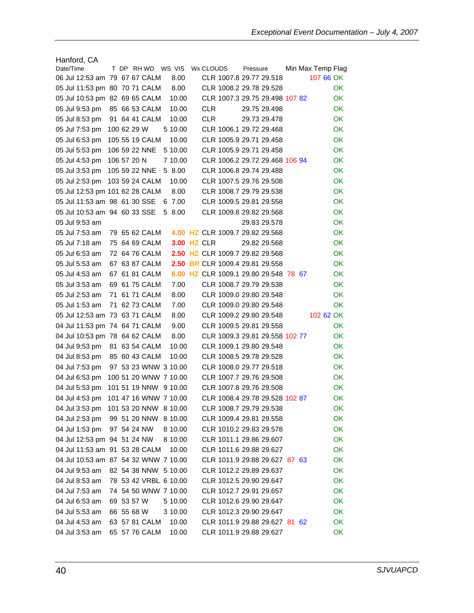| Hanford, CA                          |             |  |                       |                    |            |                                   |          |              |  |                   |           |
|--------------------------------------|-------------|--|-----------------------|--------------------|------------|-----------------------------------|----------|--------------|--|-------------------|-----------|
| Date/Time                            |             |  | T DP RHWD WS VIS      |                    | Wx CLOUDS  |                                   | Pressure |              |  | Min Max Temp Flag |           |
| 06 Jul 12:53 am 79 67 67 CALM        |             |  |                       | 8.00               |            | CLR 1007.8 29.77 29.518           |          |              |  | 107 66 OK         |           |
| 05 Jul 11:53 pm 80 70 71 CALM        |             |  |                       | 8.00               |            | CLR 1008.2 29.78 29.528           |          |              |  |                   | OK.       |
| 05 Jul 10:53 pm 82 69 65 CALM        |             |  |                       | 10.00              |            | CLR 1007.3 29.75 29.498 107 82    |          |              |  |                   | OK.       |
| 05 Jul 9:53 pm                       |             |  | 85 66 53 CALM         | 10.00              | <b>CLR</b> |                                   |          | 29.75 29.498 |  |                   | OK.       |
| 05 Jul 8:53 pm                       |             |  | 91 64 41 CALM         | 10.00              | CLR        |                                   |          | 29.73 29.478 |  |                   | OK        |
| 05 Jul 7:53 pm                       | 100 62 29 W |  |                       | 5 10.00            |            | CLR 1006.1 29.72 29.468           |          |              |  |                   | OK.       |
| 05 Jul 6:53 pm                       |             |  | 105 55 19 CALM        | 10.00              |            | CLR 1005.9 29.71 29.458           |          |              |  |                   | OK        |
| 05 Jul 5:53 pm                       |             |  | 106 59 22 NNE         | 5 10.00            |            | CLR 1005.9 29.71 29.458           |          |              |  |                   | ОK        |
| 05 Jul 4:53 pm                       | 106 57 20 N |  |                       | 7 10.00            |            | CLR 1006.2 29.72 29.468 106 94    |          |              |  |                   | OK.       |
| 05 Jul 3:53 pm                       |             |  | 105 59 22 NNE         | 5 8.00             |            | CLR 1006.8 29.74 29.488           |          |              |  |                   | OK.       |
| 05 Jul 2:53 pm                       |             |  | 103 59 24 CALM        | 10.00              |            | CLR 1007.5 29.76 29.508           |          |              |  |                   | OK.       |
| 05 Jul 12:53 pm 101 62 28 CALM       |             |  |                       | 8.00               |            | CLR 1008.7 29.79 29.538           |          |              |  |                   | OK.       |
| 05 Jul 11:53 am 98 61 30 SSE         |             |  |                       | 6 7.00             |            | CLR 1009.5 29.81 29.558           |          |              |  |                   | OK.       |
| 05 Jul 10:53 am 94 60 33 SSE         |             |  |                       | 5 8.00             |            | CLR 1009.8 29.82 29.568           |          |              |  |                   | OK        |
| 05 Jul 9:53 am                       |             |  |                       |                    |            |                                   |          | 29.83 29.578 |  |                   | <b>OK</b> |
| 05 Jul 7:53 am                       |             |  | 79 65 62 CALM         |                    |            | 4.00 HZ CLR 1009.7 29.82 29.568   |          |              |  |                   | OK        |
| 05 Jul 7:18 am                       |             |  | 75 64 69 CALM         | <b>3.00 HZ CLR</b> |            |                                   |          | 29.82 29.568 |  |                   | ОK        |
| 05 Jul 6:53 am                       |             |  | 72 64 76 CALM         |                    |            | 2.50 HZ CLR 1009.7 29.82 29.568   |          |              |  |                   | OK.       |
| 05 Jul 5:53 am                       |             |  | 67 63 87 CALM         | 2.50               |            | <b>BR CLR 1009.4 29.81 29.558</b> |          |              |  |                   | OK        |
| 05 Jul 4:53 am                       |             |  | 67 61 81 CALM         | 6.00               |            | HZ CLR 1009.1 29.80 29.548 78 67  |          |              |  |                   | OK.       |
| 05 Jul 3:53 am                       |             |  | 69 61 75 CALM         | 7.00               |            | CLR 1008.7 29.79 29.538           |          |              |  |                   | OK        |
| 05 Jul 2:53 am                       |             |  | 71 61 71 CALM         | 8.00               |            | CLR 1009.0 29.80 29.548           |          |              |  |                   | OK.       |
| 05 Jul 1:53 am                       |             |  | 71 62 73 CALM         | 7.00               |            | CLR 1009.0 29.80 29.548           |          |              |  |                   | OK.       |
| 05 Jul 12:53 am                      |             |  | 73 63 71 CALM         | 8.00               |            | CLR 1009.2 29.80 29.548           |          |              |  | 102 62 OK         |           |
| 04 Jul 11:53 pm 74 64 71 CALM        |             |  |                       | 9.00               |            | CLR 1009.5 29.81 29.558           |          |              |  |                   | ОK        |
| 04 Jul 10:53 pm 78 64 62 CALM        |             |  |                       | 8.00               |            | CLR 1009.3 29.81 29.558 102 77    |          |              |  |                   | ΟK        |
| 04 Jul 9:53 pm                       |             |  | 81 63 54 CALM         | 10.00              |            | CLR 1009.1 29.80 29.548           |          |              |  |                   | OK        |
| 04 Jul 8:53 pm                       |             |  | 85 60 43 CALM         | 10.00              |            | CLR 1008.5 29.78 29.528           |          |              |  |                   | OK        |
| 04 Jul 7:53 pm                       |             |  | 97 53 23 WNW 3 10.00  |                    |            | CLR 1008.0 29.77 29.518           |          |              |  |                   | OK        |
| 04 Jul 6:53 pm                       |             |  | 100 51 20 WNW 7 10.00 |                    |            | CLR 1007.7 29.76 29.508           |          |              |  |                   | OK.       |
| 04 Jul 5:53 pm                       |             |  | 101 51 19 NNW 9 10.00 |                    |            | CLR 1007.8 29.76 29.508           |          |              |  |                   | ОK        |
| 04 Jul 4:53 pm                       |             |  | 101 47 16 WNW 7 10.00 |                    |            | CLR 1008.4 29.78 29.528 102 87    |          |              |  |                   | OK        |
| 04 Jul 3:53 pm 101 53 20 NNW 8 10.00 |             |  |                       |                    |            | CLR 1008.7 29.79 29.538           |          |              |  |                   | OK.       |
| 04 Jul 2:53 pm 99 51 20 NNW 8 10.00  |             |  |                       |                    |            | CLR 1009.4 29.81 29.558           |          |              |  |                   | OK        |
| 04 Jul 1:53 pm                       |             |  | 97 54 24 NW           | 8 10.00            |            | CLR 1010.2 29.83 29.578           |          |              |  |                   | OK        |
| 04 Jul 12:53 pm 94 51 24 NW          |             |  |                       | 8 10.00            |            | CLR 1011.1 29.86 29.607           |          |              |  |                   | OK        |
| 04 Jul 11:53 am 91 53 28 CALM        |             |  |                       | 10.00              |            | CLR 1011.6 29.88 29.627           |          |              |  |                   | OK        |
| 04 Jul 10:53 am 87 54 32 WNW 7 10.00 |             |  |                       |                    |            | CLR 1011.9 29.88 29.627 87 63     |          |              |  |                   | OK        |
| 04 Jul 9:53 am                       |             |  | 82 54 38 NNW 5 10.00  |                    |            | CLR 1012.2 29.89 29.637           |          |              |  |                   | OK        |
| 04 Jul 8:53 am                       |             |  | 78 53 42 VRBL 6 10.00 |                    |            | CLR 1012.5 29.90 29.647           |          |              |  |                   | OK        |
| 04 Jul 7:53 am                       |             |  | 74 54 50 WNW 7 10.00  |                    |            | CLR 1012.7 29.91 29.657           |          |              |  |                   | OK        |
| 04 Jul 6:53 am                       | 69 53 57 W  |  |                       | 5 10.00            |            | CLR 1012.6 29.90 29.647           |          |              |  |                   | OK.       |
| 04 Jul 5:53 am                       | 66 55 68 W  |  |                       | 3 10.00            |            | CLR 1012.3 29.90 29.647           |          |              |  |                   | OK        |
| 04 Jul 4:53 am                       |             |  | 63 57 81 CALM         | 10.00              |            | CLR 1011.9 29.88 29.627 81 62     |          |              |  |                   | OK        |
| 04 Jul 3:53 am                       |             |  | 65 57 76 CALM         | 10.00              |            | CLR 1011.9 29.88 29.627           |          |              |  |                   | OK        |
|                                      |             |  |                       |                    |            |                                   |          |              |  |                   |           |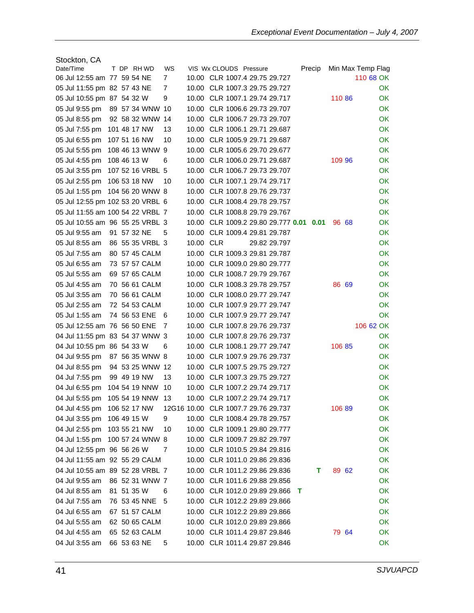| Stockton, CA                     |             |             |                  |     |           |                                                     |                   |
|----------------------------------|-------------|-------------|------------------|-----|-----------|-----------------------------------------------------|-------------------|
| Date/Time                        |             |             | T DP RHWD        | WS  |           | VIS Wx CLOUDS Pressure<br>Precip                    | Min Max Temp Flag |
| 06 Jul 12:55 am 77 59 54 NE      |             |             |                  | 7   |           | 10.00 CLR 1007.4 29.75 29.727                       | 110 68 OK         |
| 05 Jul 11:55 pm 82 57 43 NE      |             |             |                  | 7   |           | 10.00 CLR 1007.3 29.75 29.727                       | OK.               |
| 05 Jul 10:55 pm 87 54 32 W       |             |             |                  | 9   |           | 10.00 CLR 1007.1 29.74 29.717<br>110 86             | 0K                |
| 05 Jul 9:55 pm                   |             |             | 89 57 34 WNW 10  |     |           | 10.00 CLR 1006.6 29.73 29.707                       | OK                |
| 05 Jul 8:55 pm                   |             |             | 92 58 32 WNW 14  |     |           | 10.00 CLR 1006.7 29.73 29.707                       | OK                |
| 05 Jul 7:55 pm                   |             |             | 101 48 17 NW     | 13  |           | 10.00 CLR 1006.1 29.71 29.687                       | OK                |
| 05 Jul 6:55 pm                   |             |             | 107 51 16 NW     | 10  |           | 10.00 CLR 1005.9 29.71 29.687                       | OK                |
| 05 Jul 5:55 pm                   |             |             | 108 46 13 WNW 9  |     |           | 10.00 CLR 1005.6 29.70 29.677                       | OK                |
| 05 Jul 4:55 pm                   | 108 46 13 W |             |                  | 6   |           | 10.00 CLR 1006.0 29.71 29.687<br>109 96             | OK                |
| 05 Jul 3:55 pm                   |             |             | 107 52 16 VRBL 5 |     |           | 10.00 CLR 1006.7 29.73 29.707                       | OK                |
| 05 Jul 2:55 pm                   |             |             | 106 53 18 NW     | 10  |           | 10.00 CLR 1007.1 29.74 29.717                       | OK                |
| 05 Jul 1:55 pm                   |             |             | 104 56 20 WNW 8  |     |           | 10.00 CLR 1007.8 29.76 29.737                       | OK                |
| 05 Jul 12:55 pm 102 53 20 VRBL 6 |             |             |                  |     |           | 10.00 CLR 1008.4 29.78 29.757                       | OK.               |
| 05 Jul 11:55 am 100 54 22 VRBL 7 |             |             |                  |     |           | 10.00 CLR 1008.8 29.79 29.767                       | OK                |
| 05 Jul 10:55 am 96 55 25 VRBL 3  |             |             |                  |     |           | 10.00 CLR 1009.2 29.80 29.777 0.01<br>96 68<br>0.01 | OK                |
| 05 Jul 9:55 am                   |             | 91 57 32 NE |                  | 5   |           | 10.00 CLR 1009.4 29.81 29.787                       | OK                |
| 05 Jul 8:55 am                   |             |             | 86 55 35 VRBL 3  |     | 10.00 CLR | 29.82 29.797                                        | OK                |
| 05 Jul 7:55 am                   |             |             | 80 57 45 CALM    |     |           | 10.00 CLR 1009.3 29.81 29.787                       | OK                |
| 05 Jul 6:55 am                   |             |             | 73 57 57 CALM    |     |           | 10.00 CLR 1009.0 29.80 29.777                       | OK                |
| 05 Jul 5:55 am                   |             |             | 69 57 65 CALM    |     |           | 10.00 CLR 1008.7 29.79 29.767                       | OK                |
| 05 Jul 4:55 am                   |             |             | 70 56 61 CALM    |     |           | 10.00 CLR 1008.3 29.78 29.757<br>86 69              | 0K                |
| 05 Jul 3:55 am                   |             |             | 70 56 61 CALM    |     |           | 10.00 CLR 1008.0 29.77 29.747                       | OK                |
| 05 Jul 2:55 am                   |             |             | 72 54 53 CALM    |     |           | 10.00 CLR 1007.9 29.77 29.747                       | OK                |
| 05 Jul 1:55 am                   |             |             | 74 56 53 ENE     | - 6 |           | 10.00 CLR 1007.9 29.77 29.747                       | OK                |
| 05 Jul 12:55 am 76 56 50 ENE     |             |             |                  | - 7 |           | 10.00 CLR 1007.8 29.76 29.737                       | 106 62 OK         |
| 04 Jul 11:55 pm 83 54 37 WNW 3   |             |             |                  |     |           | 10.00 CLR 1007.8 29.76 29.737                       | OK                |
| 04 Jul 10:55 pm 86 54 33 W       |             |             |                  | 6   |           | 10.00 CLR 1008.1 29.77 29.747<br>106 85             | OK                |
| 04 Jul 9:55 pm                   |             |             | 87 56 35 WNW 8   |     |           | 10.00 CLR 1007.9 29.76 29.737                       | OK                |
| 04 Jul 8:55 pm                   |             |             | 94 53 25 WNW 12  |     |           | 10.00 CLR 1007.5 29.75 29.727                       | OK                |
| 04 Jul 7:55 pm                   |             |             | 99 49 19 NW      | 13  |           | 10.00 CLR 1007.3 29.75 29.727                       | OK                |
| 04 Jul 6:55 pm                   |             |             | 104 54 19 NNW    | -10 |           | 10.00 CLR 1007.2 29.74 29.717                       | <b>OK</b>         |
| 04 Jul 5:55 pm 105 54 19 NNW 13  |             |             |                  |     |           | 10.00 CLR 1007.2 29.74 29.717                       | OK.               |
| 04 Jul 4:55 pm 106 52 17 NW      |             |             |                  |     |           | 12G16 10.00 CLR 1007.7 29.76 29.737<br>10689        | OK.               |
| 04 Jul 3:55 pm 106 49 15 W       |             |             |                  | 9   |           | 10.00 CLR 1008.4 29.78 29.757                       | <b>OK</b>         |
| 04 Jul 2:55 pm 103 55 21 NW      |             |             |                  | 10  |           | 10.00 CLR 1009.1 29.80 29.777                       | OK                |
| 04 Jul 1:55 pm                   |             |             | 100 57 24 WNW 8  |     |           | 10.00 CLR 1009.7 29.82 29.797                       | OK                |
|                                  |             |             |                  |     |           |                                                     |                   |
| 04 Jul 12:55 pm 96 56 26 W       |             |             |                  | 7   |           | 10.00 CLR 1010.5 29.84 29.816                       | OK                |
| 04 Jul 11:55 am 92 55 29 CALM    |             |             |                  |     |           | 10.00 CLR 1011.0 29.86 29.836                       | OK                |
| 04 Jul 10:55 am 89 52 28 VRBL 7  |             |             |                  |     |           | 10.00 CLR 1011.2 29.86 29.836<br>89 62<br>т         | <b>OK</b>         |
| 04 Jul 9:55 am                   |             |             | 86 52 31 WNW 7   |     |           | 10.00 CLR 1011.6 29.88 29.856                       | OK                |
| 04 Jul 8:55 am                   |             | 81 51 35 W  |                  | 6   |           | 10.00 CLR 1012.0 29.89 29.866<br>т                  | OK                |
| 04 Jul 7:55 am                   |             |             | 76 53 45 NNE     | - 5 |           | 10.00 CLR 1012.2 29.89 29.866                       | OK                |
| 04 Jul 6:55 am                   |             |             | 67 51 57 CALM    |     |           | 10.00 CLR 1012.2 29.89 29.866                       | <b>OK</b>         |
| 04 Jul 5:55 am                   |             |             | 62 50 65 CALM    |     |           | 10.00 CLR 1012.0 29.89 29.866                       | OK                |
| 04 Jul 4:55 am                   |             |             | 65 52 63 CALM    |     |           | 10.00 CLR 1011.4 29.87 29.846<br>79 64              | OK                |
| 04 Jul 3:55 am                   |             | 66 53 63 NE |                  | 5   |           | 10.00 CLR 1011.4 29.87 29.846                       | OK                |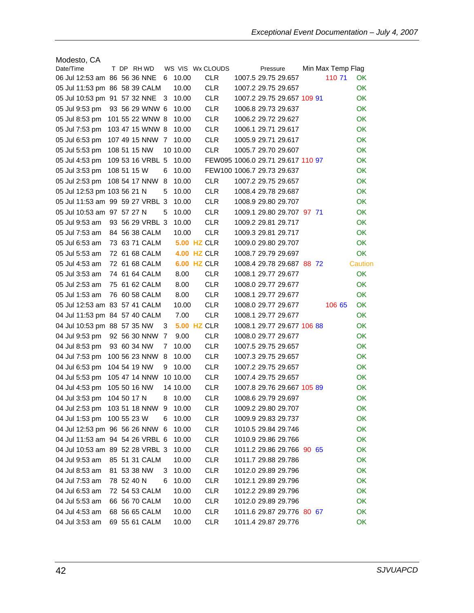| Modesto, CA                     |             |  |                  |   |                    |                  |                                   |  |                   |           |
|---------------------------------|-------------|--|------------------|---|--------------------|------------------|-----------------------------------|--|-------------------|-----------|
| Date/Time                       |             |  | T DP RHWD        |   |                    | WS VIS Wx CLOUDS | Pressure                          |  | Min Max Temp Flag |           |
| 06 Jul 12:53 am 86 56 36 NNE    |             |  |                  | 6 | 10.00              | <b>CLR</b>       | 1007.5 29.75 29.657               |  | 110 71            | 0K        |
| 05 Jul 11:53 pm 86 58 39 CALM   |             |  |                  |   | 10.00              | <b>CLR</b>       | 1007.2 29.75 29.657               |  |                   | OK        |
| 05 Jul 10:53 pm 91 57 32 NNE    |             |  |                  | 3 | 10.00              | <b>CLR</b>       | 1007.2 29.75 29.657 109 91        |  |                   | <b>OK</b> |
| 05 Jul 9:53 pm                  |             |  | 93 56 29 WNW 6   |   | 10.00              | <b>CLR</b>       | 1006.8 29.73 29.637               |  |                   | <b>OK</b> |
| 05 Jul 8:53 pm                  |             |  | 101 55 22 WNW 8  |   | 10.00              | <b>CLR</b>       | 1006.2 29.72 29.627               |  |                   | OK        |
| 05 Jul 7:53 pm                  |             |  | 103 47 15 WNW 8  |   | 10.00              | <b>CLR</b>       | 1006.1 29.71 29.617               |  |                   | OK        |
| 05 Jul 6:53 pm                  |             |  | 107 49 15 NNW 7  |   | 10.00              | <b>CLR</b>       | 1005.9 29.71 29.617               |  |                   | <b>OK</b> |
| 05 Jul 5:53 pm                  |             |  | 108 51 15 NW     |   | 10 10.00           | <b>CLR</b>       | 1005.7 29.70 29.607               |  |                   | <b>OK</b> |
| 05 Jul 4:53 pm                  |             |  | 109 53 16 VRBL 5 |   | 10.00              |                  | FEW095 1006.0 29.71 29.617 110 97 |  |                   | OK        |
| 05 Jul 3:53 pm                  | 108 51 15 W |  |                  | 6 | 10.00              |                  | FEW100 1006.7 29.73 29.637        |  |                   | OK        |
| 05 Jul 2:53 pm                  |             |  | 108 54 17 NNW    | 8 | 10.00              | <b>CLR</b>       | 1007.2 29.75 29.657               |  |                   | OK        |
| 05 Jul 12:53 pm 103 56 21 N     |             |  |                  | 5 | 10.00              | <b>CLR</b>       | 1008.4 29.78 29.687               |  |                   | OK        |
| 05 Jul 11:53 am 99 59 27 VRBL 3 |             |  |                  |   | 10.00              | <b>CLR</b>       | 1008.9 29.80 29.707               |  |                   | OK        |
| 05 Jul 10:53 am 97 57 27 N      |             |  |                  | 5 | 10.00              | <b>CLR</b>       | 1009.1 29.80 29.707 97 71         |  |                   | OK        |
| 05 Jul 9:53 am                  |             |  | 93 56 29 VRBL 3  |   | 10.00              | <b>CLR</b>       | 1009.2 29.81 29.717               |  |                   | OK        |
| 05 Jul 7:53 am                  |             |  | 84 56 38 CALM    |   | 10.00              | <b>CLR</b>       | 1009.3 29.81 29.717               |  |                   | OK.       |
| 05 Jul 6:53 am                  |             |  | 73 63 71 CALM    |   | <b>5.00 HZ CLR</b> |                  | 1009.0 29.80 29.707               |  |                   | <b>OK</b> |
| 05 Jul 5:53 am                  |             |  | 72 61 68 CALM    |   | <b>4.00 HZ CLR</b> |                  | 1008.7 29.79 29.697               |  |                   | OK        |
| 05 Jul 4:53 am                  |             |  | 72 61 68 CALM    |   | <b>6.00 HZ CLR</b> |                  | 1008.4 29.78 29.687 88 72         |  |                   | Caution   |
| 05 Jul 3:53 am                  |             |  | 74 61 64 CALM    |   | 8.00               | <b>CLR</b>       | 1008.1 29.77 29.677               |  |                   | OK        |
| 05 Jul 2:53 am                  |             |  | 75 61 62 CALM    |   | 8.00               | <b>CLR</b>       | 1008.0 29.77 29.677               |  |                   | OK        |
| 05 Jul 1:53 am                  |             |  | 76 60 58 CALM    |   | 8.00               | <b>CLR</b>       | 1008.1 29.77 29.677               |  |                   | OK        |
| 05 Jul 12:53 am 83 57 41 CALM   |             |  |                  |   | 10.00              | <b>CLR</b>       | 1008.0 29.77 29.677               |  | 106 65            | OK        |
| 04 Jul 11:53 pm 84 57 40 CALM   |             |  |                  |   | 7.00               | <b>CLR</b>       | 1008.1 29.77 29.677               |  |                   | OK        |
| 04 Jul 10:53 pm 88 57 35 NW     |             |  |                  | 3 | <b>5.00 HZ CLR</b> |                  | 1008.1 29.77 29.677 106 88        |  |                   | OK        |
| 04 Jul 9:53 pm                  |             |  | 92 56 30 NNW 7   |   | 9.00               | <b>CLR</b>       | 1008.0 29.77 29.677               |  |                   | OK        |
| 04 Jul 8:53 pm                  |             |  | 93 60 34 NW      | 7 | 10.00              | <b>CLR</b>       | 1007.5 29.75 29.657               |  |                   | OK        |
| 04 Jul 7:53 pm                  |             |  | 100 56 23 NNW    | 8 | 10.00              | <b>CLR</b>       | 1007.3 29.75 29.657               |  |                   | OK        |
| 04 Jul 6:53 pm                  |             |  | 104 54 19 NW     | 9 | 10.00              | <b>CLR</b>       | 1007.2 29.75 29.657               |  |                   | <b>OK</b> |
| 04 Jul 5:53 pm                  |             |  | 105 47 14 NNW    |   | 10 10.00           | <b>CLR</b>       | 1007.4 29.75 29.657               |  |                   | OK        |
| 04 Jul 4:53 pm                  |             |  | 105 50 16 NW     |   | 14 10.00           | <b>CLR</b>       | 1007.8 29.76 29.667 105 89        |  |                   | OK        |
| 04 Jul 3:53 pm                  | 104 50 17 N |  |                  | 8 | 10.00              | <b>CLR</b>       | 1008.6 29.79 29.697               |  |                   | OK        |
| 04 Jul 2:53 pm 103 51 18 NNW 9  |             |  |                  |   | 10.00              | <b>CLR</b>       | 1009.2 29.80 29.707               |  |                   | OK        |
| 04 Jul 1:53 pm 100 55 23 W      |             |  |                  | 6 | 10.00              | <b>CLR</b>       | 1009.9 29.83 29.737               |  |                   | OK        |
| 04 Jul 12:53 pm 96 56 26 NNW 6  |             |  |                  |   | 10.00              | <b>CLR</b>       | 1010.5 29.84 29.746               |  |                   | OK        |
| 04 Jul 11:53 am 94 54 26 VRBL 6 |             |  |                  |   | 10.00              | <b>CLR</b>       | 1010.9 29.86 29.766               |  |                   | OK        |
| 04 Jul 10:53 am 89 52 28 VRBL 3 |             |  |                  |   | 10.00              | <b>CLR</b>       | 1011.2 29.86 29.766 90 65         |  |                   | OK        |
| 04 Jul 9:53 am                  |             |  | 85 51 31 CALM    |   | 10.00              | <b>CLR</b>       | 1011.7 29.88 29.786               |  |                   | OK        |
| 04 Jul 8:53 am                  |             |  | 81 53 38 NW      | 3 | 10.00              | <b>CLR</b>       | 1012.0 29.89 29.796               |  |                   | OK        |
| 04 Jul 7:53 am                  | 78 52 40 N  |  |                  | 6 | 10.00              | <b>CLR</b>       | 1012.1 29.89 29.796               |  |                   | OK        |
| 04 Jul 6:53 am                  |             |  | 72 54 53 CALM    |   | 10.00              | <b>CLR</b>       | 1012.2 29.89 29.796               |  |                   | OK        |
| 04 Jul 5:53 am                  |             |  | 66 56 70 CALM    |   | 10.00              | <b>CLR</b>       | 1012.0 29.89 29.796               |  |                   | OK        |
| 04 Jul 4:53 am                  |             |  | 68 56 65 CALM    |   | 10.00              | <b>CLR</b>       | 1011.6 29.87 29.776 80 67         |  |                   | OK        |
| 04 Jul 3:53 am                  |             |  | 69 55 61 CALM    |   | 10.00              | <b>CLR</b>       | 1011.4 29.87 29.776               |  |                   | OK        |
|                                 |             |  |                  |   |                    |                  |                                   |  |                   |           |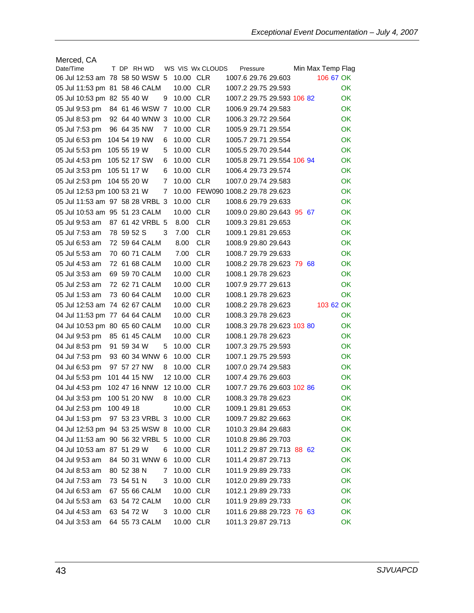| Merced, CA                      |             |         |                 |   |              |                  |                                  |  |                   |     |
|---------------------------------|-------------|---------|-----------------|---|--------------|------------------|----------------------------------|--|-------------------|-----|
| Date/Time                       |             |         | T DP RHWD       |   |              | WS VIS Wx CLOUDS | Pressure                         |  | Min Max Temp Flag |     |
| 06 Jul 12:53 am 78 58 50 WSW 5  |             |         |                 |   | 10.00 CLR    |                  | 1007.6 29.76 29.603              |  | 106 67 OK         |     |
| 05 Jul 11:53 pm 81 58 46 CALM   |             |         |                 |   | 10.00 CLR    |                  | 1007.2 29.75 29.593              |  |                   | OK. |
| 05 Jul 10:53 pm 82 55 40 W      |             |         |                 | 9 | 10.00 CLR    |                  | 1007.2 29.75 29.593 106 82       |  |                   | OK. |
| 05 Jul 9:53 pm                  |             |         | 84 61 46 WSW    | 7 | 10.00 CLR    |                  | 1006.9 29.74 29.583              |  |                   | OK. |
| 05 Jul 8:53 pm                  |             |         | 92 64 40 WNW 3  |   | 10.00 CLR    |                  | 1006.3 29.72 29.564              |  |                   | OK  |
| 05 Jul 7:53 pm                  |             |         | 96 64 35 NW     | 7 | 10.00 CLR    |                  | 1005.9 29.71 29.554              |  |                   | OK  |
| 05 Jul 6:53 pm                  |             |         | 104 54 19 NW    | 6 | 10.00 CLR    |                  | 1005.7 29.71 29.554              |  |                   | OK  |
| 05 Jul 5:53 pm                  | 105 55 19 W |         |                 | 5 | 10.00 CLR    |                  | 1005.5 29.70 29.544              |  |                   | OK. |
| 05 Jul 4:53 pm                  |             |         | 105 52 17 SW    | 6 | 10.00 CLR    |                  | 1005.8 29.71 29.554 106 94       |  |                   | OK. |
| 05 Jul 3:53 pm                  | 105 51 17 W |         |                 | 6 | 10.00 CLR    |                  | 1006.4 29.73 29.574              |  |                   | OK. |
| 05 Jul 2:53 pm                  | 104 55 20 W |         |                 | 7 | 10.00 CLR    |                  | 1007.0 29.74 29.583              |  |                   | OK  |
| 05 Jul 12:53 pm 100 53 21 W     |             |         |                 | 7 |              |                  | 10.00 FEW090 1008.2 29.78 29.623 |  |                   | OK  |
| 05 Jul 11:53 am 97 58 28 VRBL 3 |             |         |                 |   | 10.00        | <b>CLR</b>       | 1008.6 29.79 29.633              |  |                   | ОK  |
| 05 Jul 10:53 am 95 51 23 CALM   |             |         |                 |   | 10.00        | <b>CLR</b>       | 1009.0 29.80 29.643 95 67        |  |                   | OK  |
| 05 Jul 9:53 am                  |             |         | 87 61 42 VRBL 5 |   | 8.00         | <b>CLR</b>       | 1009.3 29.81 29.653              |  |                   | OK  |
| 05 Jul 7:53 am                  | 78 59 52 S  |         |                 | 3 | 7.00         | <b>CLR</b>       | 1009.1 29.81 29.653              |  |                   | OK  |
| 05 Jul 6:53 am                  |             |         | 72 59 64 CALM   |   | 8.00         | <b>CLR</b>       | 1008.9 29.80 29.643              |  |                   | OK. |
| 05 Jul 5:53 am                  |             |         | 70 60 71 CALM   |   | 7.00         | <b>CLR</b>       | 1008.7 29.79 29.633              |  |                   | OK. |
| 05 Jul 4:53 am                  |             |         | 72 61 68 CALM   |   | 10.00        | <b>CLR</b>       | 1008.2 29.78 29.623 79 68        |  |                   | OK. |
| 05 Jul 3:53 am                  |             |         | 69 59 70 CALM   |   | 10.00 CLR    |                  | 1008.1 29.78 29.623              |  |                   | OK. |
| 05 Jul 2:53 am                  |             |         | 72 62 71 CALM   |   | 10.00 CLR    |                  | 1007.9 29.77 29.613              |  |                   | OK  |
| 05 Jul 1:53 am                  |             |         | 73 60 64 CALM   |   | 10.00 CLR    |                  | 1008.1 29.78 29.623              |  |                   | ОK  |
| 05 Jul 12:53 am 74 62 67 CALM   |             |         |                 |   | 10.00 CLR    |                  | 1008.2 29.78 29.623              |  | 103 62 OK         |     |
| 04 Jul 11:53 pm 77 64 64 CALM   |             |         |                 |   | 10.00 CLR    |                  | 1008.3 29.78 29.623              |  |                   | OK  |
| 04 Jul 10:53 pm 80 65 60 CALM   |             |         |                 |   | 10.00 CLR    |                  | 1008.3 29.78 29.623 103 80       |  |                   | OK  |
| 04 Jul 9:53 pm                  |             |         | 85 61 45 CALM   |   | 10.00 CLR    |                  | 1008.1 29.78 29.623              |  |                   | OK. |
| 04 Jul 8:53 pm                  | 91          | 59 34 W |                 | 5 | 10.00 CLR    |                  | 1007.3 29.75 29.593              |  |                   | OK. |
| 04 Jul 7:53 pm                  |             |         | 93 60 34 WNW 6  |   | 10.00        | <b>CLR</b>       | 1007.1 29.75 29.593              |  |                   | OK. |
| 04 Jul 6:53 pm                  |             |         | 97 57 27 NW     | 8 | 10.00 CLR    |                  | 1007.0 29.74 29.583              |  |                   | OK. |
| 04 Jul 5:53 pm                  |             |         | 101 44 15 NW    |   | 12 10.00 CLR |                  | 1007.4 29.76 29.603              |  |                   | OK. |
| 04 Jul 4:53 pm                  |             |         | 102 47 16 NNW   |   | 12 10.00     | <b>CLR</b>       | 1007.7 29.76 29.603 102 86       |  |                   | OK  |
| 04 Jul 3:53 pm                  |             |         | 100 51 20 NW    | 8 | 10.00 CLR    |                  | 1008.3 29.78 29.623              |  |                   | OK  |
| 04 Jul 2:53 pm                  | 100 49 18   |         |                 |   | 10.00 CLR    |                  | 1009.1 29.81 29.653              |  |                   | OK. |
| 04 Jul 1:53 pm                  |             |         | 97 53 23 VRBL 3 |   | 10.00 CLR    |                  | 1009.7 29.82 29.663              |  |                   | OK  |
| 04 Jul 12:53 pm 94 53 25 WSW 8  |             |         |                 |   | 10.00 CLR    |                  | 1010.3 29.84 29.683              |  |                   | OK  |
| 04 Jul 11:53 am 90 56 32 VRBL 5 |             |         |                 |   | 10.00 CLR    |                  | 1010.8 29.86 29.703              |  |                   | OK  |
| 04 Jul 10:53 am 87 51 29 W      |             |         |                 | 6 | 10.00 CLR    |                  | 1011.2 29.87 29.713 88 62        |  |                   | OK  |
| 04 Jul 9:53 am                  |             |         | 84 50 31 WNW 6  |   | 10.00 CLR    |                  | 1011.4 29.87 29.713              |  |                   | OK  |
| 04 Jul 8:53 am                  | 80 52 38 N  |         |                 | 7 | 10.00 CLR    |                  | 1011.9 29.89 29.733              |  |                   | OK  |
| 04 Jul 7:53 am                  | 73 54 51 N  |         |                 | 3 | 10.00 CLR    |                  | 1012.0 29.89 29.733              |  |                   | OK. |
| 04 Jul 6:53 am                  |             |         | 67 55 66 CALM   |   | 10.00 CLR    |                  | 1012.1 29.89 29.733              |  |                   | OK  |
| 04 Jul 5:53 am                  |             |         | 63 54 72 CALM   |   | 10.00 CLR    |                  | 1011.9 29.89 29.733              |  |                   | OK  |
| 04 Jul 4:53 am                  | 63 54 72 W  |         |                 | 3 | 10.00 CLR    |                  | 1011.6 29.88 29.723 76 63        |  |                   | OK  |
| 04 Jul 3:53 am                  |             |         | 64 55 73 CALM   |   | 10.00 CLR    |                  | 1011.3 29.87 29.713              |  |                   | OK  |
|                                 |             |         |                 |   |              |                  |                                  |  |                   |     |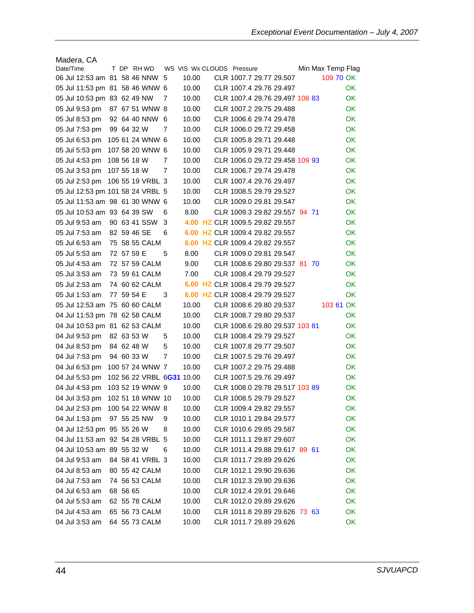| Madera, CA                       |             |  |                  |   |                           |  |                                 |  |                   |           |
|----------------------------------|-------------|--|------------------|---|---------------------------|--|---------------------------------|--|-------------------|-----------|
| Date/Time                        |             |  | T DP RHWD        |   | WS VIS Wx CLOUDS Pressure |  |                                 |  | Min Max Temp Flag |           |
| 06 Jul 12:53 am 81 58 46 NNW 5   |             |  |                  |   | 10.00                     |  | CLR 1007.7 29.77 29.507         |  | 109 70 OK         |           |
| 05 Jul 11:53 pm 81 58 46 WNW 6   |             |  |                  |   | 10.00                     |  | CLR 1007.4 29.76 29.497         |  |                   | OK.       |
| 05 Jul 10:53 pm 83 62 49 NW      |             |  |                  | 7 | 10.00                     |  | CLR 1007.4 29.76 29.497 108 83  |  |                   | OK        |
| 05 Jul 9:53 pm                   |             |  | 87 67 51 WNW 8   |   | 10.00                     |  | CLR 1007.2 29.75 29.488         |  |                   | ОK        |
| 05 Jul 8:53 pm                   |             |  | 92 64 40 NNW 6   |   | 10.00                     |  | CLR 1006.6 29.74 29.478         |  |                   | OK.       |
| 05 Jul 7:53 pm                   | 99 64 32 W  |  |                  | 7 | 10.00                     |  | CLR 1006.0 29.72 29.458         |  |                   | ОK        |
| 05 Jul 6:53 pm                   |             |  | 105 61 24 WNW 6  |   | 10.00                     |  | CLR 1005.8 29.71 29.448         |  |                   | ОK        |
| 05 Jul 5:53 pm                   |             |  | 107 58 20 WNW 6  |   | 10.00                     |  | CLR 1005.9 29.71 29.448         |  |                   | ОK        |
| 05 Jul 4:53 pm                   | 108 56 18 W |  |                  | 7 | 10.00                     |  | CLR 1006.0 29.72 29.458 109 93  |  |                   | ОK        |
| 05 Jul 3:53 pm                   | 107 55 18 W |  |                  | 7 | 10.00                     |  | CLR 1006.7 29.74 29.478         |  |                   | OK        |
| 05 Jul 2:53 pm                   |             |  | 106 55 19 VRBL 3 |   | 10.00                     |  | CLR 1007.4 29.76 29.497         |  |                   | <b>OK</b> |
| 05 Jul 12:53 pm 101 58 24 VRBL 5 |             |  |                  |   | 10.00                     |  | CLR 1008.5 29.79 29.527         |  |                   | OK        |
| 05 Jul 11:53 am 98 61 30 WNW 6   |             |  |                  |   | 10.00                     |  | CLR 1009.0 29.81 29.547         |  |                   | OK.       |
| 05 Jul 10:53 am 93 64 39 SW      |             |  |                  | 6 | 8.00                      |  | CLR 1009.3 29.82 29.557 94 71   |  |                   | OK.       |
| 05 Jul 9:53 am                   |             |  | 90 63 41 SSW     | 3 |                           |  | 4.00 HZ CLR 1009.5 29.82 29.557 |  |                   | ОK        |
| 05 Jul 7:53 am                   | 82 59 46 SE |  |                  | 6 | 6.00                      |  | HZ CLR 1009.4 29.82 29.557      |  |                   | ОK        |
| 05 Jul 6:53 am                   |             |  | 75 58 55 CALM    |   |                           |  | 6.00 HZ CLR 1009.4 29.82 29.557 |  |                   | ОK        |
| 05 Jul 5:53 am                   | 72 57 59 E  |  |                  | 5 | 8.00                      |  | CLR 1009.0 29.81 29.547         |  |                   | OK.       |
| 05 Jul 4:53 am                   |             |  | 72 57 59 CALM    |   | 9.00                      |  | CLR 1008.6 29.80 29.537 81 70   |  |                   | OK        |
| 05 Jul 3:53 am                   |             |  | 73 59 61 CALM    |   | 7.00                      |  | CLR 1008.4 29.79 29.527         |  |                   | OK        |
| 05 Jul 2:53 am                   |             |  | 74 60 62 CALM    |   |                           |  | 6.00 HZ CLR 1008.4 29.79 29.527 |  |                   | ОK        |
| 05 Jul 1:53 am                   | 77 59 54 E  |  |                  | 3 |                           |  | 6.00 HZ CLR 1008.4 29.79 29.527 |  |                   | ОK        |
| 05 Jul 12:53 am 75 60 60 CALM    |             |  |                  |   | 10.00                     |  | CLR 1008.6 29.80 29.537         |  | 103 61 OK         |           |
| 04 Jul 11:53 pm 78 62 58 CALM    |             |  |                  |   | 10.00                     |  | CLR 1008.7 29.80 29.537         |  |                   | ОK        |
| 04 Jul 10:53 pm 81 62 53 CALM    |             |  |                  |   | 10.00                     |  | CLR 1008.6 29.80 29.537 103 81  |  |                   | ОK        |
| 04 Jul 9:53 pm                   | 82 63 53 W  |  |                  | 5 | 10.00                     |  | CLR 1008.4 29.79 29.527         |  |                   | ОK        |
| 04 Jul 8:53 pm                   | 84 62 48 W  |  |                  | 5 | 10.00                     |  | CLR 1007.8 29.77 29.507         |  |                   | OK.       |
| 04 Jul 7:53 pm                   | 94 60 33 W  |  |                  | 7 | 10.00                     |  | CLR 1007.5 29.76 29.497         |  |                   | OK.       |
| 04 Jul 6:53 pm                   |             |  | 100 57 24 WNW 7  |   | 10.00                     |  | CLR 1007.2 29.75 29.488         |  |                   | <b>OK</b> |
| 04 Jul 5:53 pm                   |             |  |                  |   | 102 56 22 VRBL 6G31 10.00 |  | CLR 1007.5 29.76 29.497         |  |                   | OK.       |
| 04 Jul 4:53 pm                   |             |  | 103 52 19 WNW 9  |   | 10.00                     |  | CLR 1008.0 29.78 29.517 103 89  |  |                   | ОK        |
| 04 Jul 3:53 pm 102 51 18 WNW 10  |             |  |                  |   | 10.00                     |  | CLR 1008.5 29.79 29.527         |  |                   | ОK        |
| 04 Jul 2:53 pm 100 54 22 WNW 8   |             |  |                  |   | 10.00                     |  | CLR 1009.4 29.82 29.557         |  |                   | OK        |
| 04 Jul 1:53 pm                   |             |  | 97 55 25 NW      | 9 | 10.00                     |  | CLR 1010.1 29.84 29.577         |  |                   | OK        |
| 04 Jul 12:53 pm 95 55 26 W       |             |  |                  | 8 | 10.00                     |  | CLR 1010.6 29.85 29.587         |  |                   | OK        |
| 04 Jul 11:53 am 92 54 28 VRBL 5  |             |  |                  |   |                           |  | CLR 1011.1 29.87 29.607         |  |                   | OK        |
| 04 Jul 10:53 am 89 55 32 W       |             |  |                  | 6 | 10.00                     |  |                                 |  |                   |           |
|                                  |             |  |                  |   | 10.00                     |  | CLR 1011.4 29.88 29.617 89 61   |  |                   | OK        |
| 04 Jul 9:53 am                   |             |  | 84 58 41 VRBL 3  |   | 10.00                     |  | CLR 1011.7 29.89 29.626         |  |                   | <b>OK</b> |
| 04 Jul 8:53 am                   |             |  | 80 55 42 CALM    |   | 10.00                     |  | CLR 1012.1 29.90 29.636         |  |                   | OK        |
| 04 Jul 7:53 am                   |             |  | 74 56 53 CALM    |   | 10.00                     |  | CLR 1012.3 29.90 29.636         |  |                   | <b>OK</b> |
| 04 Jul 6:53 am                   | 68 56 65    |  |                  |   | 10.00                     |  | CLR 1012.4 29.91 29.646         |  |                   | OK        |
| 04 Jul 5:53 am                   |             |  | 62 55 78 CALM    |   | 10.00                     |  | CLR 1012.0 29.89 29.626         |  |                   | OK        |
| 04 Jul 4:53 am                   |             |  | 65 56 73 CALM    |   | 10.00                     |  | CLR 1011.8 29.89 29.626 73 63   |  |                   | OK        |
| 04 Jul 3:53 am                   |             |  | 64 55 73 CALM    |   | 10.00                     |  | CLR 1011.7 29.89 29.626         |  |                   | OK        |